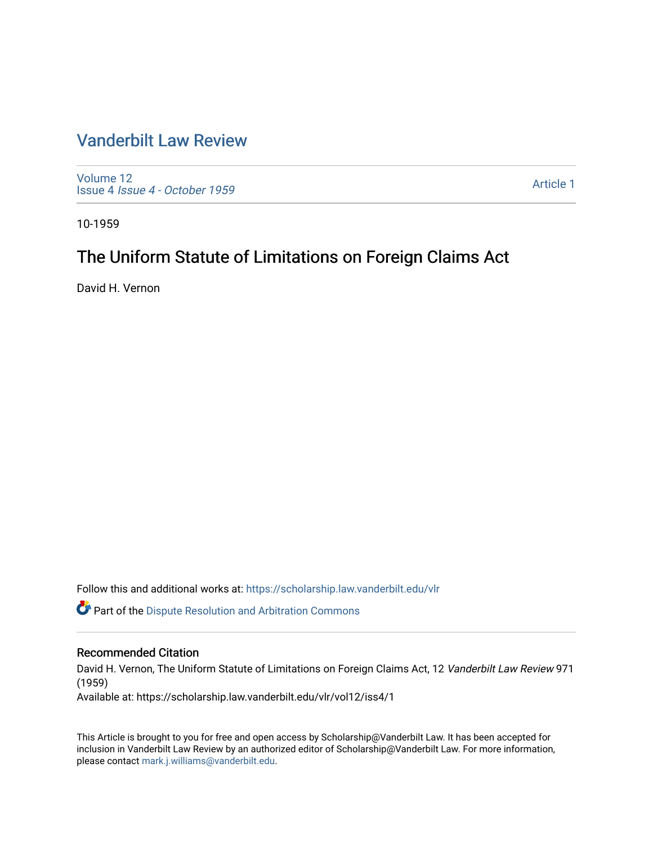# [Vanderbilt Law Review](https://scholarship.law.vanderbilt.edu/vlr)

[Volume 12](https://scholarship.law.vanderbilt.edu/vlr/vol12) Issue 4 [Issue 4 - October 1959](https://scholarship.law.vanderbilt.edu/vlr/vol12/iss4) 

[Article 1](https://scholarship.law.vanderbilt.edu/vlr/vol12/iss4/1) 

10-1959

# The Uniform Statute of Limitations on Foreign Claims Act

David H. Vernon

Follow this and additional works at: [https://scholarship.law.vanderbilt.edu/vlr](https://scholarship.law.vanderbilt.edu/vlr?utm_source=scholarship.law.vanderbilt.edu%2Fvlr%2Fvol12%2Fiss4%2F1&utm_medium=PDF&utm_campaign=PDFCoverPages)

Part of the [Dispute Resolution and Arbitration Commons](http://network.bepress.com/hgg/discipline/890?utm_source=scholarship.law.vanderbilt.edu%2Fvlr%2Fvol12%2Fiss4%2F1&utm_medium=PDF&utm_campaign=PDFCoverPages) 

## Recommended Citation

David H. Vernon, The Uniform Statute of Limitations on Foreign Claims Act, 12 Vanderbilt Law Review 971 (1959)

Available at: https://scholarship.law.vanderbilt.edu/vlr/vol12/iss4/1

This Article is brought to you for free and open access by Scholarship@Vanderbilt Law. It has been accepted for inclusion in Vanderbilt Law Review by an authorized editor of Scholarship@Vanderbilt Law. For more information, please contact [mark.j.williams@vanderbilt.edu.](mailto:mark.j.williams@vanderbilt.edu)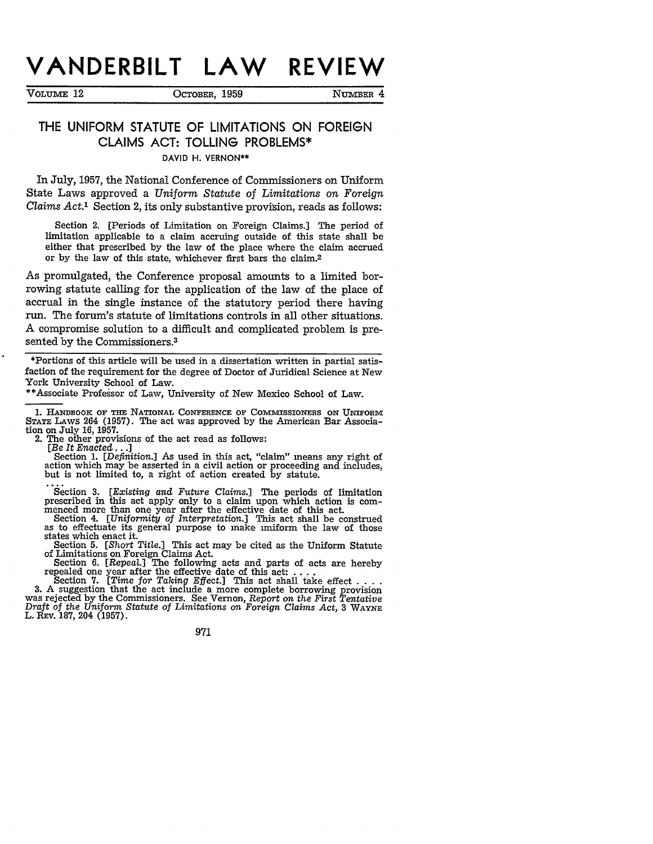# **VANDERBILT LAW REVIEW**

VOLUME 12 OCTOBER, 1959 NUMBER 4

# THE **UNIFORM STATUTE** OF **LIMITATIONS ON FOREIGN CLAIMS ACT: TOLLING** PROBLEMS\*

DAVID H. VERNON\*\*

In July, 1957, the National Conference of Commissioners on Uniform State Laws approved a *Uniform Statute of Limitations on Foreign Claims Act.1* Section 2, its only substantive provision, reads as follows:

Section 2. [Periods of Limitation on Foreign Claims.] The period of limitation applicable to a claim accruing outside of this state shall be either that prescribed by the law of the place where the claim accrued or by the law of this state, whichever first bars the claim.2

As promulgated, the Conference proposal amounts to a limited borrowing statute calling for the application of the law of the place of accrual in the single instance of the statutory period there having run. The forum's statute of limitations controls in all other situations. A compromise solution to a difficult and complicated problem is presented by the Commissioners.<sup>3</sup>

\*Portions of this article will be used in a dissertation written in partial satisfaction of the requirement for the degree of Doctor of Juridical Science at New York University School of Law.

\*\*Associate Professor of Law, University of New Mexico School of Law.

1. HANDBOOK OF THE NATIONAL CONFERENCE OF COMMISSIONERS ON UNIFORM<br>STATE LAWS 264 (1957). The act was approved by the American Bar Association on July **16, 1957.**

The other provisions of the act read as follows:

*[Be It Enacted...]*

Section 1. *[Definition.]* As used in this act, "claim" means any right of action which may be asserted in a civil action or proceeding and includes, but is not limited to, a right of action created by statute.

Section 3. *[Existing and Future Claims.]* The periods of limitation prescribed in this act apply only to a claim upon which action is com- menced more than one year after the effective date of this act.

Section 4. *[Uniformity of Interpretation.*] This act shall be construed as to effectuate its general purpose to make uniform the law of those states which enact it. states which enact it. Section 5. *[Short Title.]* This act may be cited as the Uniform Statute

of Limitations on Foreign Claims Act.

Section 6. *[Repeal.]* The following acts and parts of acts are hereby repealed one year after the effective date of this act: .... Section **7.** *[Time for Taking Effect.]* This act shall take effect **....** 3. **A** suggestion that the act include a more complete borrowing provision was rejected by the Commissioners. See Vernon, *Report on the First Tentative Draft of the Uniform Statute of Limitations on Foreign Claims Act,* **3 WAYNE** L. REV. 187, 204 (1957).

971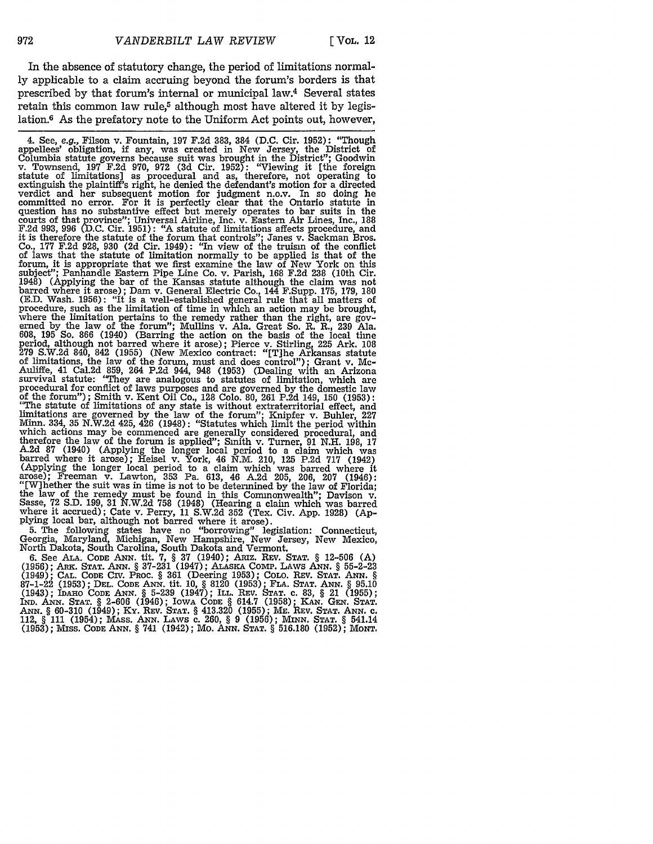In the absence of statutory change, the period of limitations normally applicable to a claim accruing beyond the forum's borders is that prescribed by that forum's internal or municipal law.4 Several states retain this common law rule,<sup>5</sup> although most have altered it by legislation.6 As the prefatory note to the Uniform Act points out, however,

4. See, e.g., Filson v. Fountain, **197 F.2d 383,** 384 **(D.C.** Cir. **1952):** "Though appellees' obligation, if any, was created in New Jersey, the District of Columbia statute governs because suit was brought in the District"; Goodwin<br>v. Townsend, 197 F.2d 970, 972 (3d Cir. 1952): "Viewing it [the foreign<br>statute of limitations] as procedural and as, therefore, not operating to extinguish the plaintiff's right, he denied the defendant's motion for a directed verdict and her subsequent motion for judgment n.o.v. In so doing he committed no error. For it is perfectly clear that the Ontario statute in question has no substantive effect but merely operates to bar suits in the courts of that province"; Universal Airline, Inc. v. Eastern Air Lines, Inc., 188 F.2d 993, 996 (D.C. Cir. 1951): "A statute of limitations affects procedure, and it is therefore the statute of the forum that controls"; Janes v. Sackman Bros. Co., **177** F.2d 928, 930 (2d Cir. 1949): "In view of the truism of the conflict of laws that the statute of limitation normally to be applied is that of the forum, it is appropriate that we first examine the law of New York on this subject"; Panhandle Eastern Pipe Line Co. v. Parish, 168 F.2d 238 (10th Cir. 1948) (Applying the bar of the Kansas statute although the claim was not barred where it arose); Dam v. General Electric Co., 144 F.Supp. **175,** 179, 180 (E.D. Wash. 1956): "It is a well-established general rule that all matters of procedure, such as the limitation of time in which an action may be brought,<br>where the limitation pertains to the remedy rather than the right, are gov-<br>erned by the law of the forum"; Mullins v. Ala. Great So. R. R., 239 608, 195 So. 866 (1940) (Barring the action on the basis of the local time period, although not barred where it arose); Pierce v. Stirling, **225** Ark. 108 279 S.W.2d 840, 842 (1955) (New Mexico contract: "[T]he Arkansas statute of limitations, the law of the forum, must and does control"); Grant v. Mc-Auliffe, 41 Cal.2d 859, 264 P.2d 944, 948 (1953) (Dealing with an Arizona<br>survival statute: "They are analogous to statutes of limitation, which are<br>procedural for conflict of laws purposes and are governed by the domestic of the forum"); Smith v. Kent Oil Co., 128 Colo. 80, 261 P.2d 149, 150 (1953): "The statute of limitations of any state is without extraterritorial effect, and limitations are governed by the law of the forum"; Knipfer v. Buhler, 227 Minn. 334, **35** N.W.2d 425, 426 (1948): "Statutes which limit the period within which actions may be commenced are generally considered procedural, and therefore the law of the forum is applied"; Smith v. Turner, 91 N.H. 198, **17** A.2d 87 (1940) (Applying the longer local period to a claim which was barred where it arose); Heisel v. York, 46 N.M. 210, 125 P.2d 717 (1942) (Applying the longer local period to a claim which was barred where it arose); Freeman v. Lawton, 353 Pa. 613, 46 A.2d 205, 206, 207 (1946):<br>"[W]hether the suit was in time is not to be determined by the law of Florida;<br>the law of the remedy must be found in this Commonwealth"; Davison v.<br>Sas where it accrued); Cate v. Perry, 11 S.W.2d 352 (Tex. Civ. App. 1928) (Ap-<br>plying local bar, although not barred where it arose).

5. The following states have no "borrowing" legislation: Connecticut, Georgia, Maryland, Michigan, New Hampshire, New Jersey, New Mexico, North Dakota, South Carolina, South Dakota and Vermont.

**6.** See **AiA. CODE** *ANN.* tit. **7,** § 37 (1940); ARIZ. **REV. STAT.** § 12-506 (A) (1956); ARK. **STAT. ANN.** § 37-231 (1947); ALAsKA **COmP.** LAWS **ANN.** § 55-2-23 (1949); **CAL. CODE** CIV. PROC. § **361** (Deering 1953); COLO. REV. **STAT. ANN.** *§* 87-1-22 (1953); **DEL. CODE** ANN. tit. **10,** § 8120 (1953); FLA. **STAT. ANN.** *§* 95.10 (1943); **IDAHO CODE ANN.** § **5-239** (1947); ILL. REV. **STAT. c.** 83, § 21 (1955); **IND. ANN. STAT.** § 2-606 (1946); IOWA **CODE** § 614.7 (1958); **KAN. GEN. STAT.** ANN. § 60-310 (1949); Ky. **REV. STAT.** § 413.320 (1955); **ME.** REV. **STAT. ANN.** c. 112, § **111** (1954); MAss. **ANN.** LAWS **c.** 260, § 9 (1956); **MINN. STAT.** § 541.14 **(1953);** Mss. **CODE ANN.** § 741 (1942); Mo. **ANN. STAT.** § 516.180 (1952); **MONT.**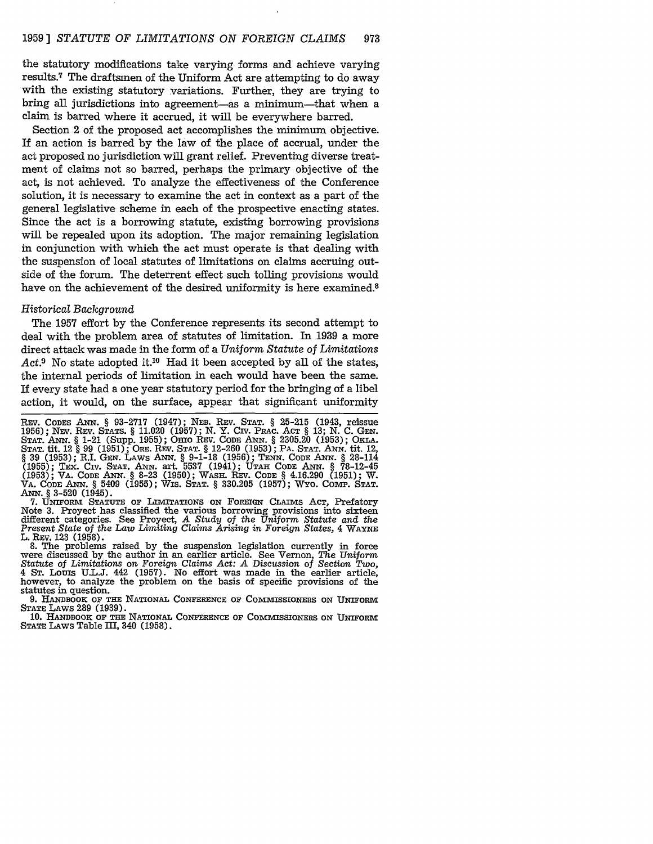#### 1959 ] *STATUTE OF LIMITATIONS ON FOREIGN CLAIMS* 973

the statutory modifications take varying forms and achieve varying results.7 The draftsmen of the Uniform Act are attempting to do away with the existing statutory variations. Further, they are trying to bring all jurisdictions into agreement-as a minimum-that when a claim is barred where it accrued, it will be everywhere barred.

Section 2 of the proposed act accomplishes the minimum objective. If an action is barred by the law of the place of accrual, under the act proposed no jurisdiction will grant relief. Preventing diverse treatment of claims not so barred, perhaps the primary objective of the act, is not achieved. To analyze the effectiveness of the Conference solution, it is necessary to examine the act in context as a part of the general legislative scheme in each of the prospective enacting states. Since the act is a borrowing statute, existing borrowing provisions will be repealed upon its adoption. The major remaining legislation in conjunction with which the act must operate is that dealing with the suspension of local statutes of limitations on claims accruing outside of the forum. The deterrent effect such tolling provisions would have on the achievement of the desired uniformity is here examined.<sup>8</sup>

#### *Historical Background*

The 1957 effort by the Conference represents its second attempt to deal with the problem area of statutes of limitation. In 1939 a more direct attack was made in the form of a *Uniform Statute of Limitations* Act.<sup>9</sup> No state adopted it.<sup>10</sup> Had it been accepted by all of the states, the internal periods of limitation in each would have been the same. If every state had a one year statutory period for the bringing of a libel action, it would, on the surface, appear that significant uniformity

7. UNIFORM **STATUTE** OF LIMITATIONS ON FOREIGN CLAIMS **ACT,** Prefatory Note 3. Proyect has classified the various borrowing provisions into sixteen different categories. See Proyect, *A Study of the Uniform Statute and the Present State* of the *Law Limiting Claims Arising in Foreign States,* 4 WAYNE L. REV. 123 (1958).

8. The problems raised by the suspension legislation currently in force were discussed by the author in an earlier article. See Vernon, *The Uniform Statute of Limitations* on *Foreign Claims Act: A* Discussion of *Section Two,* Statute of Limitations on Foreign Claims Act: A Discussion of Section Two, 4 Sr. Louis U.L.J. 442 (1957). No effort was made in the earlier article, however, to analyze the problem on the basis of specific provisions of the

9. HANDBOOK OF THE NATIONAL CONFERENCE OF COMMISSIONERS ON UNIFORM **STATE LAWS 289 (1939).**

10. HANDBOOK OF THE NATIONAL CONFERENCE OF COMMISSIONERS ON UNIFORM **STATE LAWs Table III,** 340 (1958).

REV. CODES ANN. § 93-2717 (1947); NEB. REV. STAT. § 25-215 (1943, reissue 1956); NEV. REV. STATS. § 11.020 (1957); N. Y. CIV. PRAC. ACT § 13; N. C. GEN. STAT. ANN. § 1-21 (Supp. 1955); OHIO REV. CODE ANN. § 2305.20 (1953); (1955); TEx. CIV. **STAT.** ANN. art. 5537 (1941); **UTAH CODE ANN.** § **78-12-45 (1953);** VA. **CODE ANN.** § **8-23 (1950);** WASH. **REV. CODE** § 4.16.290 (1951); W. VA. CODE ANN. § 5409 (1955); WIS. STAT. § 330.205 (1957); WYO. COMP. STAT. **ANN.** § **3-520** (1945).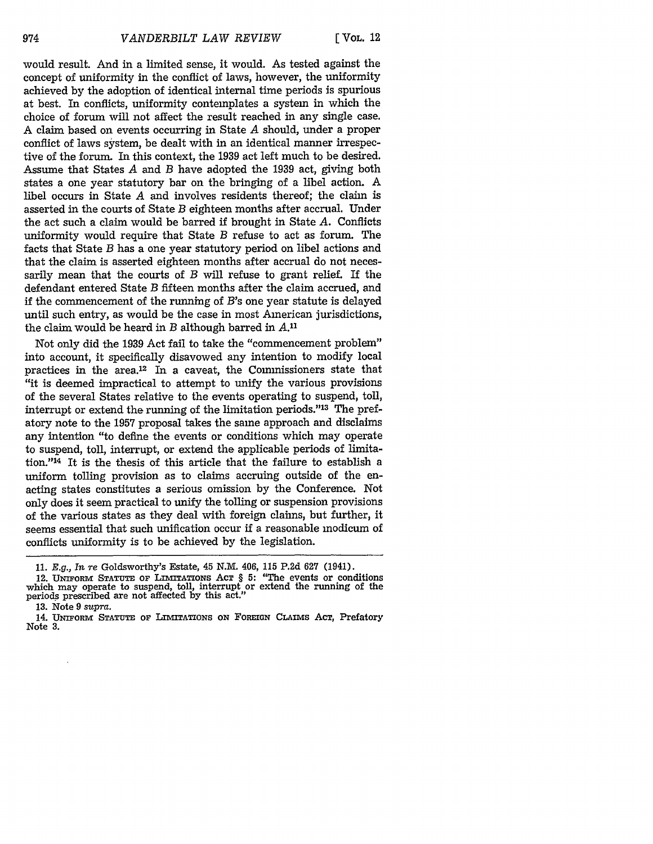**[** VOL. 12

would result. And in a limited sense, it would. As tested against the concept of uniformity in the conflict of laws, however, the uniformity achieved by the adoption of identical internal time periods is spurious at best. In conflicts, uniformity contemplates a system in which the choice of forum will not affect the result reached in any single case. A claim based on events occurring in State *A* should, under a proper conflict of laws system, be dealt with in an identical manner irrespective of the forum. In this context, the **1939** act left much to be desired. Assume that States *A* and *B* have adopted the 1939 act, giving both states a one year statutory bar on the bringing of a libel action. A libel occurs in State *A* and involves residents thereof; the claim is asserted in the courts of State *B* eighteen months after accrual. Under the act such a claim would be barred if brought in State *A.* Conflicts uniformity would require that State *B* refuse to act as forum. The facts that State *B* has a one year statutory period on libel actions and that the claim is asserted eighteen months after accrual do not necessarily mean that the courts of *B* will refuse to grant relief. If the defendant entered State *B* fifteen months after the claim accrued, and if the commencement of the running of  $B$ 's one year statute is delayed until such entry, as would be the case in most American jurisdictions, the claim would be heard in *B* although barred in *A."*

Not only did the 1939 Act fail to take the "commencement problem" into account, it specifically disavowed any intention to modify local practices in the area.12 In a caveat, the Commissioners state that "it is deemed impractical to attempt to unify the various provisions of the several States relative to the events operating to suspend, toll, interrupt or extend the running of the limitation periods."13 The prefatory note to the 1957 proposal takes the same approach and disclaims any intention "to define the events or conditions which may operate to suspend, toll, interrupt, or extend the applicable periods of limitation."<sup>14</sup> It is the thesis of this article that the failure to establish a uniform tolling provision as to claims accruing outside of the enacting states constitutes a serious omission by the Conference. Not only does it seem practical to unify the tolling or suspension provisions of the various states as they deal with foreign claims, but further, it seems essential that such unification occur if a reasonable modicum of conflicts uniformity is to be achieved by the legislation.

**13.** Note **9** supra.

<sup>11.</sup> *E.g., In* re Goldsworthy's Estate, **45** N.M. 406, **115** P.2d 627 (1941).

<sup>12.</sup> UNIFORM STATUTE OF LIMITATIONS ACT § 5: "The events or conditions which may operate to suspend, toll, interrupt or extend the running of the periods prescribed are not affected **by** this act."

<sup>14.</sup> UNIFORM STATUTE OF LIMITATIONS ON FOREIGN CLAIMS Act, Prefatory Note 3.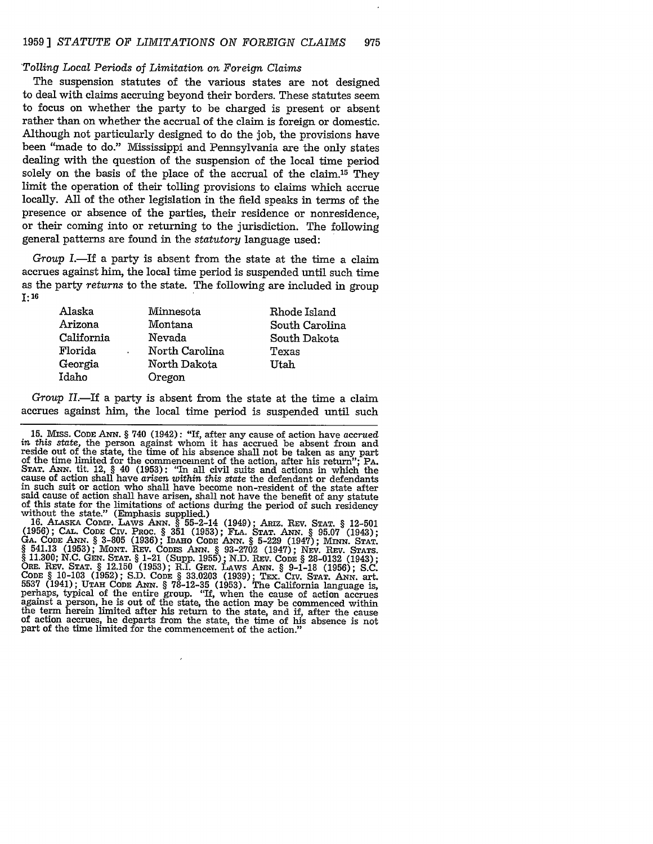#### *'Tolling Local Periods* of *Limitation on Foreign Claims*

The suspension statutes of the various states are not designed to deal with claims accruing beyond their borders. These statutes seem to focus on whether the party to be charged is present or absent rather than on whether the accrual of the claim is foreign or domestic. Although not particularly designed to do the job, the provisions have been "made to do." Mississippi and Pennsylvania are the only states dealing with the question of the suspension of the local time period solely on the basis of the place of the accrual of the claim.15 They limit the operation of their tolling provisions to claims which accrue locally. All of the other legislation in the field speaks in terms of the presence or absence of the parties, their residence or nonresidence, or their coming into or returning to the jurisdiction. The following general patterns are found in the *statutory* language used:

*Group* I.-If a party is absent from the state at the time a claim accrues against him, the local time period is suspended until such time as the party *returns* to the state. The following are included in group **1: 16**

| Alaska     | Minnesota      | Rhode Island   |
|------------|----------------|----------------|
| Arizona    | Montana        | South Carolina |
| California | Nevada         | South Dakota   |
| Florida    | North Carolina | Texas          |
| Georgia    | North Dakota   | Utah           |
| Idaho      | Oregon         |                |

*Group II.*—If a party is absent from the state at the time a claim accrues against him, the local time period is suspended until such

(1956); CAL. CODE CIV. PROC. § 351 (1953); FLA. STAT. ANN. § 95.07 (1943);<br>GA. CODE ANN. § 3-805 (1936); IDAHO CODE ANN. § 5-229 (1947); MINN. STAT.<br>§ 541.13 (1953); MONT. REV. CODES ANN. § 93-2702 (1947); NEV. REV. STATS. **§ 11.300; N.C. GEN. STAT. §** 1-21 (Supp. **1955); N.D.** REV. **CODE § 28-0132** (1943); ORE. REV. **STAT.** § 12.150 **(1953);** R.I. **GEN.** LAWS A.N. § 9-1-18 **(1956); S.C.** CODE § 10-103 (1952); S.D. CODE § 33.0203 (1939); TEX. CTV. STAT. ANN. art.<br>5537 (1941); UTAH CODE ANN. § 78-12-35 (1953). The California language is, perhaps, typical of the entire group. "If, when the cause of action ac against a person, he is out of the state, the action may be commenced within the term herein limited after his return to the state, and if, after the cause of action accrues, he departs from the state, the time of his absence is not part of the time limited for the commencement of the action."

<sup>15.</sup> **MIss.** CODE *ANN.* § 740 (1942): "If, after any cause of action have accrued *in this state,* the person against whom it has accrued be absent from and reside out of the state, the time of his absence shall not be taken as any part of the time limited for the commencement of the action, after his return"; PA. of the time limited for the commencement of the action, after his return";  $PA$ .<br>STAT. ANN. tit. 12, § 40 (1953): "In all civil suits and actions in which the cause of action shall have *arisen within this state* the defendant or defendants in such suit or action who shall have become non-resident of the state after said cause of action shall have arisen, shall not have the benefit of any statute of this state for the limitations of actions during the period of such residency without the state." (Emphasis supplied.) 16. **ALASKA** CoMP. LAws **ANN.** § 55-2-14 (1949); ARIz. REV. **STAT.** § 12-501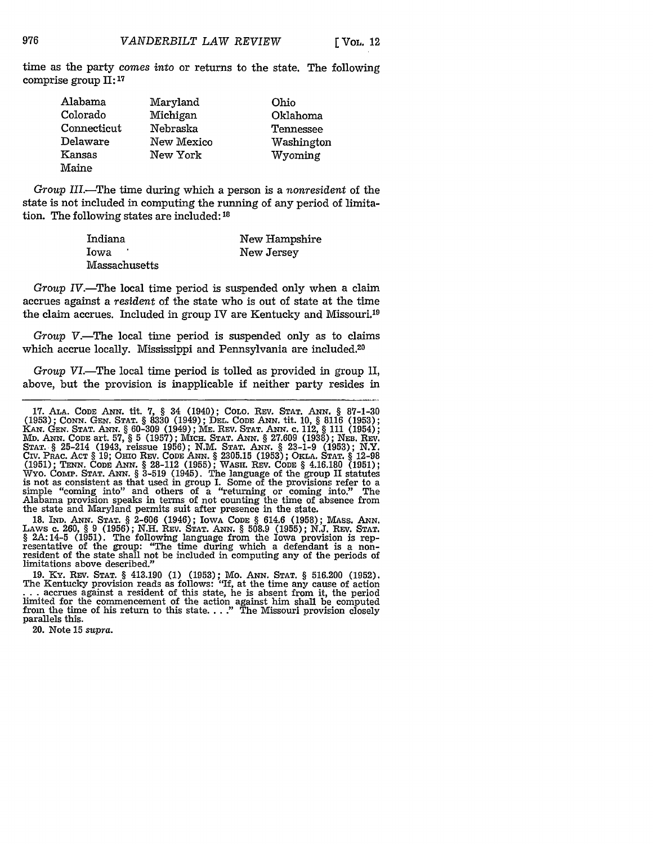time as the party *comes into* or returns to the state. The following comprise group II: **<sup>17</sup>**

| Alabama     | Maryland   | Ohio       |
|-------------|------------|------------|
| Colorado    | Michigan   | Oklahoma   |
| Connecticut | Nebraska   | Tennessee  |
| Delaware    | New Mexico | Washington |
| Kansas      | New York   | Wyoming    |
| Maine       |            |            |

*Group* III.-The time during which a person is a *nonresident* of the state is not included in computing the running of any period of limitation. The following states are included: **<sup>18</sup>**

| Indiana       | New Hampshire |
|---------------|---------------|
| Iowa          | New Jersey    |
| Massachusetts |               |

*Group IV.*—The local time period is suspended only when a claim accrues against a *resident* of the state who is out of state at the time the claim accrues. Included in group IV are Kentucky and Missouri.19

*Group V.*—The local time period is suspended only as to claims which accrue locally. Mississippi and Pennsylvania are included.<sup>20</sup>

*Group VI*.—The local time period is tolled as provided in group II, above, but the provision is inapplicable if neither party resides in

**18. IND. ANN. STAT.** § **2-606** (1946); IowA **CODE** § 614.6 **(1958);** MAss. **ANN.** LAWS c. 260, § 9 (1956); N.H. REV. STAT. ANN. § 508.9 (1955); N.J. REV. STAT. § 2A:14-5 (1951). The following language from the Iowa provision is representative of the group: "The time during which a defendant is a non-re limitations above described."

**19.** Ky. REV. **STAT.** § 413.190 **(1) (1953);** Mo. **ANN. STAT.** § **516.200 (1952).** ... accrues against a resident of this state, he is absent from it, the period limited for the commencement of the action against him shall be computed from the time of his return to this state...." The Missouri provision

20. Note 15 *supra.*

**<sup>17.</sup> ALA. CODE ANN.** tit. **7,** § 34 (1940); **COLO.** REV. **STAT. ANN.** § 87-1-30 (1953); CONN. GEN. STAT. § 3330 (1949); DEL. CODE ANN. tit. 10, § 8116 (1953); CANN. GEN. STAT. § 3330 (1949); DEL. CODE ANN. tit. 10, § 8116 (1953) **MD.** ANN. CODE art. **57,** § **5 (1957);** MCH. **STAT. ANN.** § **27.609 (1938);** NEB. REV. **STAT.** § 25-214 (1943, reissue **1956); N.M. STAT. ANN.** § **23-1-9 (1953);** N.Y. Civ. PRic. **ACT** § **19; OHIo** REV. **CODE ANN.** § **2305.15 (1953);** OKLA. **STAT.** § **12-98 (1951); TENN. CODE** ANN. § **28-112 (1955);** WASH. REV. **CODE** § 4.16.180 **(1951);** Wyo. CoVnP. **STAT. ANN.** *§* **3-519** (1945). The language of the group II statutes is not as consistent as that used in group I. Some of the provisions refer to a simple "coming into" and others of a "returning or coming into." The Alabama provision speaks in terms of not counting the time of absence from the state and Maryland permits suit after presence in the state.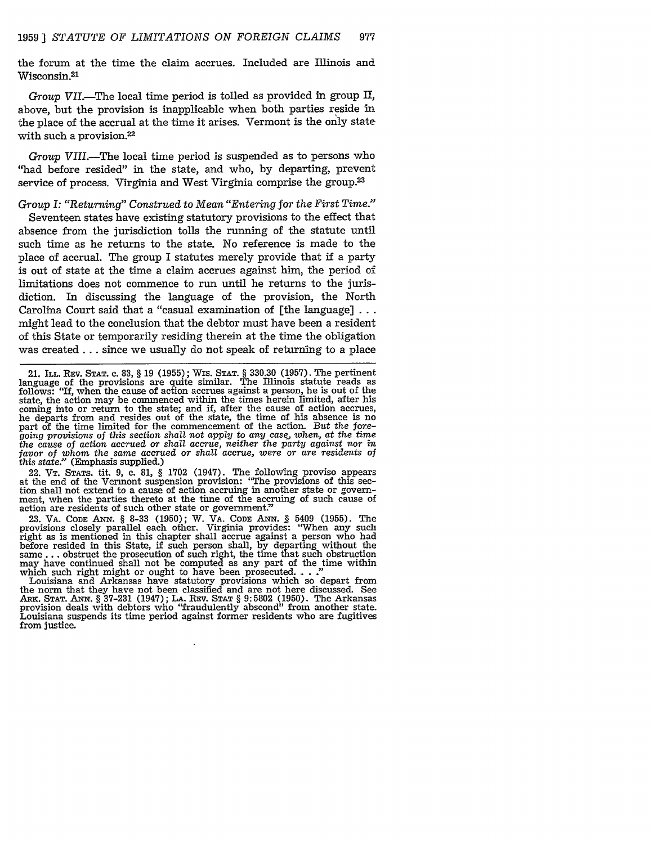the forum at the time the claim accrues. Included are Illinois and Wisconsin.<sup>21</sup>

*Group VII.-The* local time period is tolled as provided in group II, above, but the provision is inapplicable when both parties reside in the place of the accrual at the time it arises. Vermont is the only state with such a provision.<sup>22</sup>

*Group VIII.-The* local time period is suspended as to persons who "had before resided" in the state, and who, by departing, prevent service of process. Virginia and West Virginia comprise the group.<sup>23</sup>

#### *Group I: "Returning" Construed to Mean "Entering for the First Time."*

Seventeen states have existing statutory provisions to the effect that absence from the jurisdiction tolls the running of the statute until such time as he returns to the state. No reference is made to the place of accrual. The group I statutes merely provide that if a party is out of state at the time a claim accrues against him, the period of limitations does not commence to run until he returns to the jurisdiction. In discussing the language of the provision, the North Carolina Court said that a "casual examination of [the language] **. . .** might lead to the conclusion that the debtor must have been a resident of this State or temporarily residing therein at the time the obligation was created **...** since we usually do not speak of returning to a place

22. VT. **STATS.** tit. 9, C. 81, § 1702 (1947). The following proviso appears at the end of the process of the provision accruing in another state or government, when the parties thereto at the time of the accruing of such cause of action are residents of such other state or government?'

23. VA. CODE ANN. § 8-33 (1950); W. VA. CODE ANN. § 5409 (1955). The provisions closely parallel each other. Virginia provides: "When any such right as is mentioned in this chapter shall accrue against a person who had before resided in this State, if such person shall, by departing without the same **...** obstruct the prosecution of such right, the time that such obstruction may have continued shall not be computed as any part of the time within which such right might or ought to have been prosecuted.

Louisiana and Arkansas have statutory provisions which so depart from the norm that they have not been classified and are not here discussed. See **ARK. STAT. ANN. §** 37-231 (1947); **LA.** REV. **STAT** § 9:5802 (1950). The Arkansas provision deals with debtors who "fraudulently abscond" from another state. Louisiana suspends its time period against former residents who are fugitives from justice.

<sup>21.</sup> ILL. REV. **STAT.** c. 83, § 19 **(1955);** Wis. **STAT.** § **330.30 (1957).** The pertinent anguage of the provisions are quite similar. The Illinois statute reads as<br>follows: "If, when the cause of action accrues against a person, he is out of the state, the action may be commenced within the times herein limited, after his coming into or return to the state; and if, after the cause of action accrues, he departs from and resides out of the state, the time of his absence is no part of the time limited for the commencement of the action. *But the foregoing provisions* of *this* section *shall not apply to any case, when, at the time the cause* of *action* accrued *or shall* accrue, *neither the party against nor in favor of whom the same* accrued or *shall accrue, were or are residents of this state:"* (Emphasis supplied.)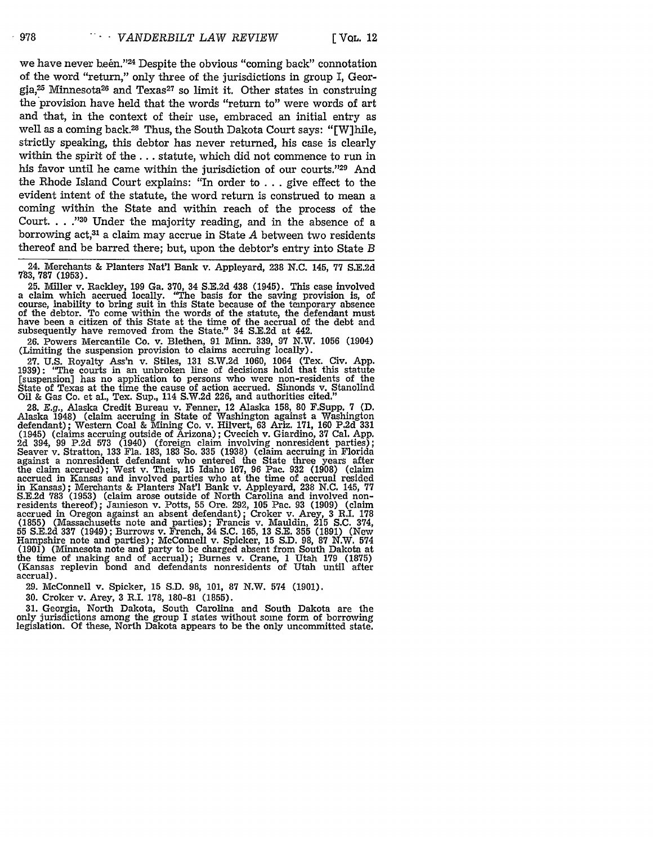we have never been."<sup>24</sup> Despite the obvious "coming back" connotation of the word "return," only three of the jurisdictions in group I, Geor $gja<sub>1</sub><sup>25</sup> Minnesota<sup>26</sup> and Texas<sup>27</sup> so limit it. Other states in constructing$ the provision have held that the words "return to" were words of art and that, in the context of their use, embraced an initial entry as well as a coming back.<sup>28</sup> Thus, the South Dakota Court says: "[W]hile, strictly speaking, this debtor has never returned, his case is clearly within the spirit of the **...** statute, which did not commence to run in his favor until he came within the jurisdiction of our courts.<sup>"29</sup> And the Rhode Island Court explains: "In order to ... give effect to the evident intent of the statute, the word return is construed to mean a coming within the State and within reach of the process of the Court... ."<sup>30</sup> Under the majority reading, and in the absence of a borrowing act,31 a claim may accrue in State *A* between two residents thereof and be barred there; but, upon the debtor's entry into State *B*

24. Merchants & Planters Nat'l Bank v. Appleyard, 238 N.C. 145, 77 S.E.2d 783, 787 (1953).

25. Miller v. Rackley, 199 Ga. 370, 34 S.E.2d 438 (1945). This case involved a claim which accrued locally. "The basis for the saving provision is, of course, inability to bring suit in this State because of the temporary absence of the debtor. To come within the words of the statute, the defendant must have been a citizen of this State at the time of the accrual of the debt and subsequently have removed from the State." 34 S.E.2d at 442.

26. Powers Mercantile Co. v. Blethen, 91 Minn. 339, 97 N.W. 1056 (1904) (Limiting the suspension provision to claims accruing locally).

27. U.S. Royalty Ass'n v. Stiles, 131 S.W.2d 1060, 1064 (Tex. Civ. App. 1939): "The courts in an unbroken line of decisions hold that this statute [suspension] has no application to persons who were non-residents of the State of Texas at the time the cause of action accrued. Simonds v. Stanolind Oil & Gas Co. et al., Tex. Sup., 114 S.W.2d 226, and authorities cited."

28. **E.g.,** Alaska Credit Bureau v. Fenner, 12 Alaska 158, 80 F.Supp. 7 (D. Alaska 1948) (claim accruing in State of Washington against a Washington defendant); Western Coal & Mining Co. v. Hilvert, 63 Ariz. 171, 160 P.2d 331 (1945) (claims accruing outside of Arizona); Cvecich v. Giardino, 37 Cal. App. 2d 394, 99 P.2d 573 (1940) (foreign claim involving nonresident parties); Seaver v. Stratton, 133 Fla. 183, 183 So. 335 (1938) (claim accruing in Florida against a nonresident defendant who entered the State three years after the claim accrued); West v. Theis, 15 Idaho 167, 96 Pac. 932 (1908) (claim accrued in Kansas and involved parties who at the time of accrual resided in Kansas); Merchants & Planters Nat'l Bank v. Appleyard, 238 N.C. 145, 77 S.E.2d 783 (1953) (claim arose outside of North Carolina and involved non-<br>residents thereof); Jamieson v. Potts, 55 Ore. 292, 105 Pac. 93 (1909) (claim<br>accrued in Oregon against an absent defendant); Croker v. Arey, 3 R.I (1855) (Massachusetts note and parties); Francis v. Mauldin, 215 S.C. 374, 55 S.E.2d **337** (1949); Burrows v. French, 34 S.C. 165, 13 S.E. **355** (1891) (New Hampshire note and parties); McConnell v. Spicker, 15 S.D. 98, 87 N.W. 574 (1901) (Minnesota note and party to be charged absent from South Dakota at the time of making and of accrual); Burnes v. Crane, 1 Utah 179 (1875) (Kansas replevin bond and defendants nonresidents of Utah until after accrual).

29. McConnell v. Spicker, 15 S.D. 98, 101, 87 N.W. 574 (1901).

30. Croker v. Arey, **3** R.I. 178, 180-81 (1855).

31. Georgia, North Dakota, South Carolina and South Dakota are the only jurisdictions among the group I states without some form of borrowing legislation. Of these, North Dakota appears to be the only uncommitted state.

 $-978$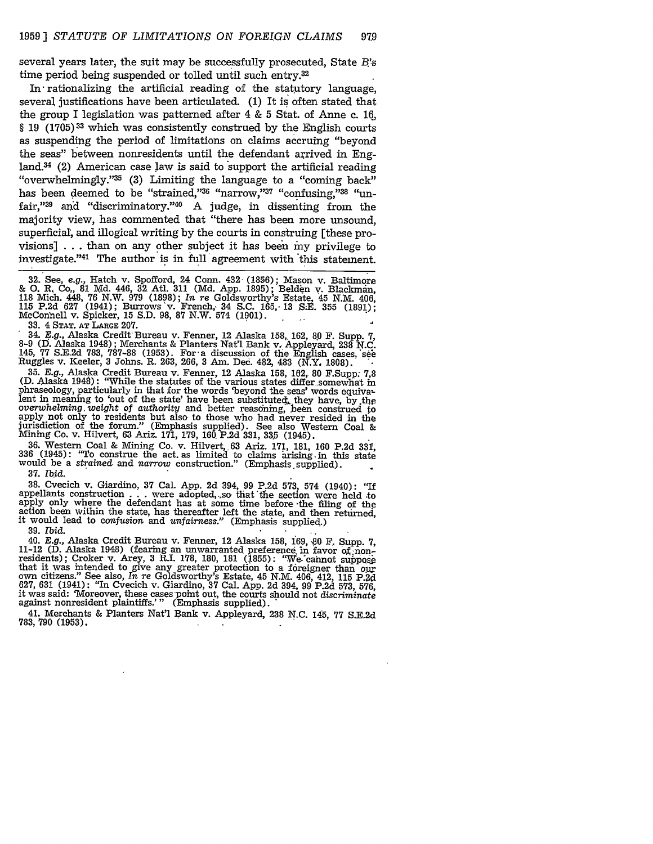several years later, the suit may be successfully prosecuted, State *B.'s* time period being suspended or tolled until such entry.<sup>32</sup>

In rationalizing the artificial reading of the statutory language, several justifications have been articulated. (1) It is often stated that the group I legislation was patterned after 4 & 5 Stat. of Anne c. **16,** § 19 (1705)33 which was consistently construed by the English courts as suspending the period of limitations on claims accruing "beyond the seas" between nonresidents until the defendant arrived in England.<sup>34</sup> (2) American case law is said to support the artificial reading "overwhelmingly."<sup>35</sup> (3) Limiting the language to a "coming back" has been deemed to be "strained," $36$  "narrow," $37$  "confusing," $38$  "unfair," $39$  and "discriminatory." $40$  A judge, in dissenting from the majority view, has commented that "there has been more unsound, superficial; and illogical writing by the courts in construing [these provisions]  $\ldots$  than on any other subject it has been my privilege to investigate."41 The author is in full'agreement with this statement.

32. See, e.g., Hatch v. Spofford, 24 Conn. 432 (1856); Mason v. Baltimore<br>& O. R. Co., 81 Md. 446, 32 Atl. 311 (Md. App. 1895); Belden v. Blackman, 118 Mich. 448, 76 N.W. 979 (1898); *In re* Goldsworthy's Estate, 45 N.M. 406<br>115 P.2d 627 (1941); Burrows v. French, 34 S.C. 165,- 13 S.E. 355 (1891); McConnell v. Spicker, **15 S.D.** 98, **87** N.W. 574 (1901).

**33.** 4 **STAT. AT** LARGE **207.**

**34.** *E.g.,* Alaska Credit Bureau v. Fenner, 12 Alaska **158,. 162, 8.0** F. Supp. **7, 8-9 (.** Alaska 1948); Merchants & Planters **Nat'l** Bank v. Appleyard, **238 N.C.** 145, **77 S.E.2d 783,** 787-88 **(1953).** For' a discussion of the English cases,'seh Ruggles v. Keeler, **3** Johns. **R. 263, 266, 3** Am. Dec. 482, 483 (N.Y, **1808).**

**35.** *E.g.,* Alaska Credit Bureau v. Fenner, 12 Alaska **158, 162, 80** F.Supp: **7,8 (D.** Alaska 1948): "While the statutes of the various states differ somewhat in phraseology, particularly in that for the words beyond the seas' words equiva-<br>lent in meaning to 'out of the state' have been substituted, they have, by the<br>overwhelming weight of authority and better reasoning, been cons apply not only to residents but also to those who had never resided in the jurisdiction of the forum." (Emphasis supplied). See also Western Coal & Mining Co. v. Hilvert, 63 Ariz. 171, 179, 160. P.2d **331, 335** (1945).

36. Western Coal & Mining Co. v. Hilvert, 63 Ariz. 171, 181, 160 P.2d **331,** 336 (1945): "To construe the act. as limited to claims iarising, in this state would be a *strained* and *narrow* construction." (Emphasis. supplied). **37.** *Ibid.*

38. Cvecich v. Giardino, 37 Cal. App. 2d 394, 99 P.2d 573, 574 (1940): "If appellants construction . . . were adopted, so that the section were held to apply only where the defendant has at some time before the filing of the action been within the state, has thereafter left the state, and then returned. it would lead to confusion and *unfairness."* (Emphasis supplied.)

39. *Ibid.*

40. *E.g.,* Alaska Credit Bureau v. Fenner, 12 Alaska 158, 169, **Z0** F, Supp. **7,** 11-12 (D. Alaska 1948) (fearing an unwarranted preference, in favor o;nonresidents); Croker v. Arey, 3 R.I. 178, 180, 181 (1855): "We cannot suppose<br>that it was intended to give any greater protection to a foreigner than our<br>own citizens." See also, In re Goldsworthy's Estate, 45 N.M. 406, 412, 627, 631 (1941): "In Cyccich v. Giardino, 37 Cal. App. 2d 394, 99 P.2d 573, 576, it was said: "Moreover, these cases point out, the courts should not discriminate against nonresident plaintiffs.'" (Emphasis supplied).

41. Merchants & Planters Nat'l Bank v. Appleyard, 238 N.C. 145, 77 S.E.2d 783,790 (1953).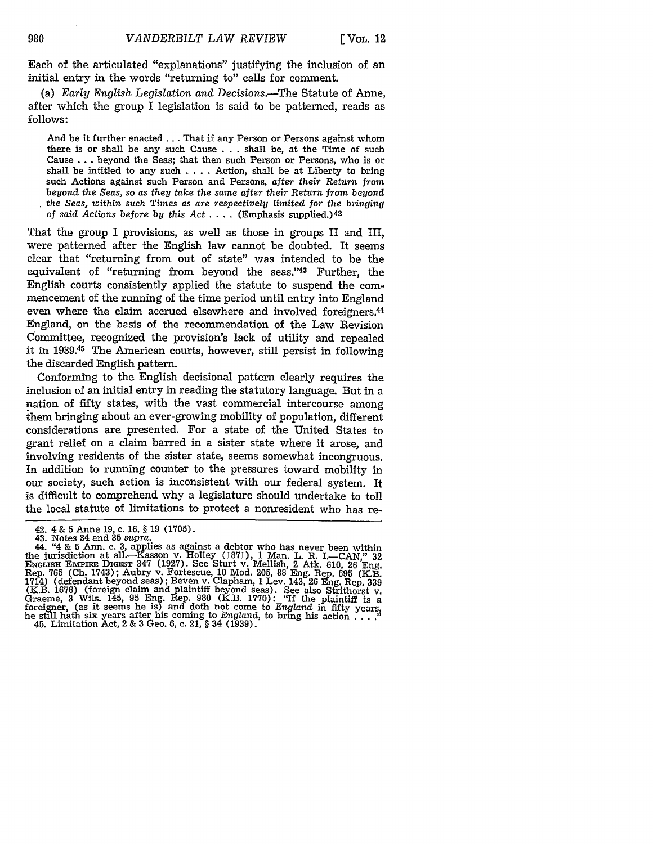Each of the articulated "explanations" justifying the inclusion of an initial entry in the words "returning to" calls for comment.

(a) *Early English Legislation* and Decisions.-The Statute of Anne, after which the group I legislation is said to be patterned, reads as follows:

And be it further enacted... That if any Person or Persons against whom there is or shall be any such Cause  $\ldots$  shall be, at the Time of such Cause **...** beyond the Seas; that then such Person or Persons, who is or shall be intitled to any such **....** Action, shall be at Liberty to bring such Actions against such Person and Persons, *after their Return from beyond the Seas, so as* they *take* the *same after their Return from beyond the Seas, within such Times as are respectively limited for* the *bringing of said Actions before by this Act* **....** (Emphasis supplied.) <sup>42</sup>

That the group I provisions, as well as those in groups II and III, were patterned after the English law cannot be doubted. It seems clear that "returning from out of state" was intended to be the equivalent of "returning from beyond the seas."43 Further, the English courts consistently applied the statute to suspend the commencement of the running of the time period until entry into England even where the claim accrued elsewhere and involved foreigners.<sup>44</sup> England, on the basis of the recommendation of the Law Revision Committee, recognized the provision's lack of utility and repealed it in 1939.<sup>45</sup> The American courts, however, still persist in following the discarded English pattern.

Conforming to the English decisional pattern clearly requires the inclusion of an initial entry in reading the statutory language. But in a nation of fifty states, with the vast commercial intercourse among them bringing about an ever-growing mobility of population, different considerations are presented. For a state of the United States to grant relief on a claim barred in a sister state where it arose, and involving residents of the sister state, seems somewhat incongruous. In addition to running counter to the pressures toward mobility in our society, such action is inconsistent with our federal system. It is difficult to comprehend why a legislature should undertake to toll the local statute of limitations to protect a nonresident who has re-

<sup>42. 4</sup> **& 5** Anne **19,** c. 16, **§** 19 (1705). 43. Notes 34 and **35** *supra.* 44. "4 & 5 Ann. c. **3,** applies as against a debtor who has never been within the jurisdiction at all.-Kasson v. Holley (1871), 1 Man. L. R. I.-CAN," **32** ENGLaSH *Excnnm* DIGEST 347 (1927). See Sturt v. Mellish, 2 Atk. 610, 26 Eng. Rep. 765 (Ch. 1743); Aubry v. Fortescue, 10 Mod. 205, 88 Eng. Rep. **695** (K.B. 1714) (defendant beyond seas); Beven v. Clapham, 1 Lev. 143, 26 Eng. Rep. 339 (K.B. 1676) (foreign claim and plaintiff beyond seas). See also Strithorst v.<br>Graeme, 3 Wils. 145, 95 Eng. Rep. 980 (K.B. 1770): "If the plaintiff is a<br>foreigner, (as it seems he is) and doth not come to England in fifty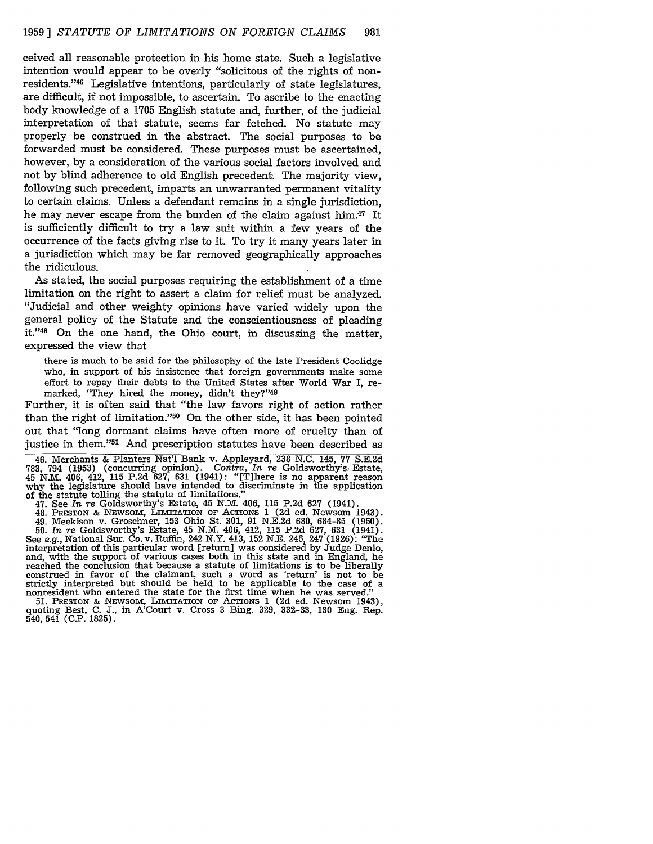ceived all reasonable protection in his home state. Such a legislative intention would appear to be overly "solicitous of the rights of nonresidents."<sup>46</sup> Legislative intentions, particularly of state legislatures, are difficult, if not impossible, to ascertain. To ascribe to the enacting body knowledge of a 1705 English statute and, further, of the judicial interpretation of that statute, seems far fetched. No statute may properly be construed in the abstract. The social purposes to be forwarded must be considered. These purposes must be ascertained, however, by a consideration of the various social factors involved and not by blind adherence to old English precedent. The majority view, following such precedent, imparts an unwarranted permanent vitality to certain claims. Unless a defendant remains in a single jurisdiction, he may never escape from the burden of the claim against him.<sup>47</sup> It is sufficiently difficult to try a law suit within a few years of the occurrence of the facts giving rise to it. To try it many years later in a jurisdiction which may be far removed geographically approaches the ridiculous.

As stated, the social purposes requiring the establishment of a time limitation on the right to assert a claim for relief must be analyzed. "Judicial and other weighty opinions have varied widely upon the general policy of the Statute and the conscientiousness of pleading it."48 On the one hand, the Ohio court, in discussing the matter, expressed the view that

there is much to be said for the philosophy of the late President Coolidge who, in support of his insistence that foreign governments make some effort to repay their debts to the United States after World War I, remarked, "They hired the money, didn't they?"49

Further, it is often said that "the law favors right of action rather than the right of limitation."50 On the other side, it has been pointed out that "long dormant claims have often more of cruelty than of justice in them."<sup>51</sup> And prescription statutes have been described as

46. Merchants & Planters Nat'l Bank v. Appleyard, 238 N.C. 145, 77 S.E.2d 783, 794 (1953) (concurring opinion). *Contra, In re* Goldsworthy's, Estate, 45 N.M. 406, 412, 115 P.2d 627, 631 (1941): "[T]here is no apparent reason why the legislature should have intended to discriminate in the application of the statute tolling the statute of limitations."

47. See *In re* Goldsworthy's Estate, 45 N.M. 406, 115 P.2d 627 (1941).

48. PRESTON & NEwsoM, LIMITATION OF AcTIoNs 1 (2d ed. Newsom 1943). 49. Meekison v. Groschner, 153 Ohio St. 301, 91 N.E.2d 680, 684-85 (1950). 50. *In re* Goldsworthy's Estate, 45 N.M. 406, 412, 115 P.2d 627, 631 (1941). See *e.g.,* National Sur. Co. v. Ruffin, 242 N.Y. 413, 152 N.E. 246, 247 (1926): "The interpretation of this particular word [return] was considered by Judge Denio, and, with the support of various cases both in this state and in England, he reached the conclusion that because a statute of limitations is to be liberally reached the constructions is to be constructed the favor of the claimant, such a word as 'return' is not to be strictly interpreted but should be held to be applicable to the case of a nonresident who entered the state for the first time when he was served."

51. PRESTON & NEWSOM, LIMITATION OF ACTIONS 1 (2d ed. Newsom 1943), quoting Best, C. J., in A'Court v. Cross 3 Bing. 329, 332-33, 130 Eng. Rep. 540, 541 (C.P. 1825).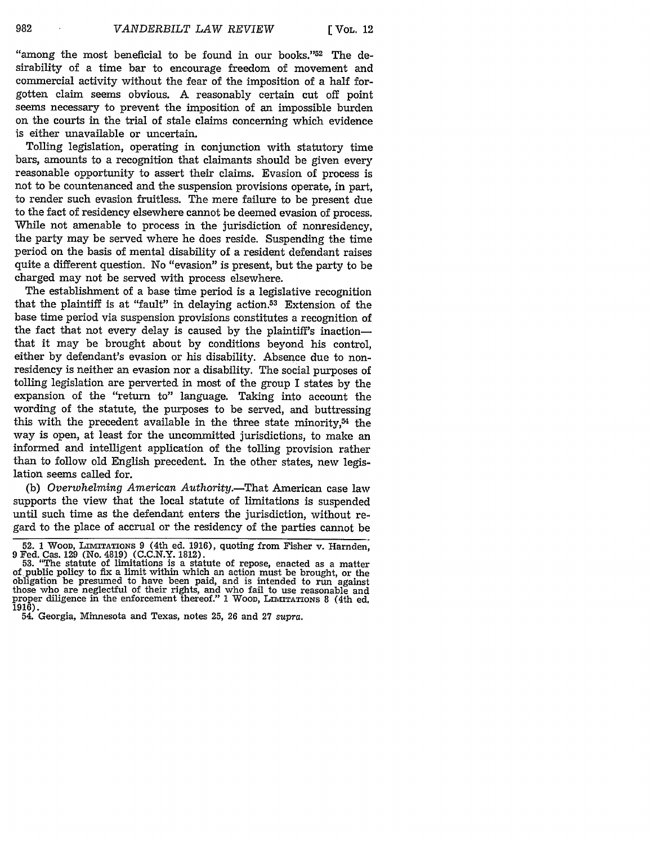"among the most beneficial to be found in our books." $52$  The desirability of a time bar to encourage freedom of movement and commercial activity without the fear of the imposition of a half forgotten claim seems obvious. A reasonably certain cut off point seems necessary to prevent the imposition of an impossible burden on the courts in the trial of stale claims concerning which evidence is either unavailable or uncertain.

Tolling legislation, operating in conjunction with statutory time bars, amounts to a recognition that claimants should be given every reasonable opportunity to assert their claims. Evasion of process is not to be countenanced and the suspension provisions operate, in part, to render such evasion fruitless. The mere failure to be present due to the fact of residency elsewhere cannot be deemed evasion of process. While not amenable to process in the jurisdiction of nonresidency, the party may be served where he does reside. Suspending the time period on the basis of mental disability of a resident defendant raises quite a different question. No "evasion" is present, but the party to be charged may not be served with process elsewhere.

The establishment of a base time period is a legislative recognition that the plaintiff is at "fault" in delaying action. $53$  Extension of the base time period via suspension provisions constitutes a recognition of the fact that not every delay is caused by the plaintiff's inactionthat it may be brought about by conditions beyond his control, either by defendant's evasion or his disability. Absence due to nonresidency is neither an evasion nor a disability. The social purposes of tolling legislation are perverted in most of the group I states by the expansion of the "return to" language. Taking into account the wording of the statute, the purposes to be served, and buttressing this with the precedent available in the three state minority, $54$  the way is open, at least for the uncommitted jurisdictions, to make an informed and intelligent application of the tolling provision rather than to follow old English precedent. In the other states, new legislation seems called for.

(b) *Overwhelming American Authority.-That* American case law supports the view that the local statute of limitations is suspended until such time as the defendant enters the jurisdiction, without regard to the place of accrual or the residency of the parties cannot be

982

<sup>52. 1</sup> Woon, LIMITATIONS 9 (4th ed. 1916), quoting from Fisher v. Harnden, 9 Fed. Cas. 129 (No. 4819) (C.C.N.Y. 1812).  $\frac{1}{2}$ <br>53. "The statute of limitations is a statute of repose, enacted as a matter

of public policy to fix a limit within which an action must be brought, or the obligation be presumed to have been paid, and is intended to run against those who are neglectful of their rights, and who fail to use reasonable and proper diligence in the enforcement thereof." 1 WooD, **LIMITATIONS** 8 (4th ed. 1916). 54. Georgia, Minnesota and Texas, notes 25, 26 and 27 *supra.*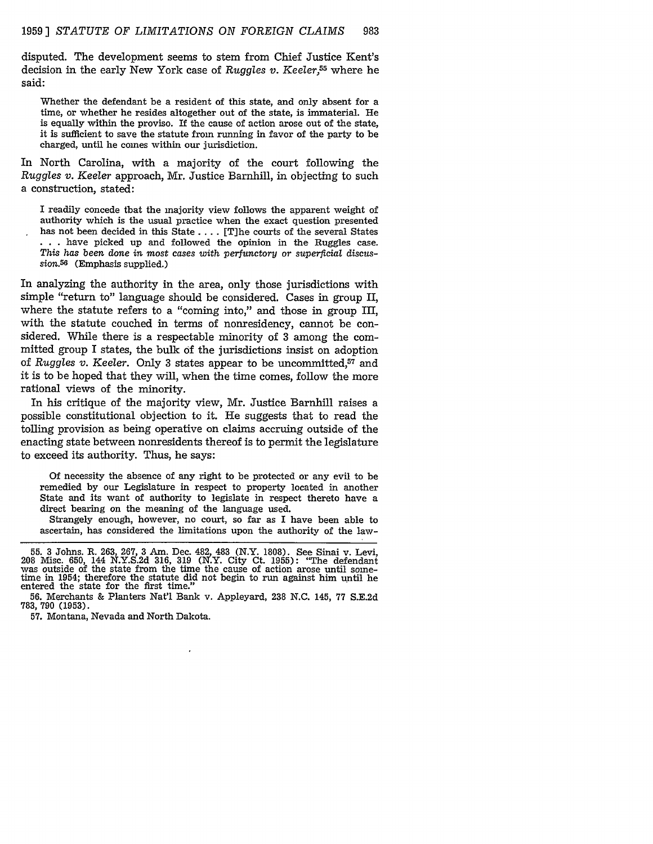disputed. The development seems to stem from Chief Justice Kent's decision in the early New York case of *Ruggles v. Keeler,55* where he said:

Whether the defendant be a resident of this state, and only absent for a time, or whether he resides altogether out of the state, is immaterial. He is equally within the proviso. If the cause of action arose out of the state, it is sufficient to save the statute from running in favor of the party to be charged, until he comes within our jurisdiction.

In North Carolina, with a majority of the court following the *Ruggles v. Keeler* approach, Mr. Justice Barnhill, in objecting to such a construction, stated:

I readily concede that the majority view follows the apparent weight of authority which is the usual practice when the exact question presented has not been decided in this State .... [T]he courts of the several States **• . .** have picked up and followed the opinion in the Ruggles case. *This has been* done *in* most *cases with perfunctory or superficial* discussion.56 (Emphasis supplied.)

In analyzing the authority in the area, only those jurisdictions with simple "return to" language should be considered. Cases in group II, where the statute refers to a "coming into," and those in group III, with the statute couched in terms of nonresidency, cannot be considered. While there is a respectable minority of 3 among the committed group I states, the bulk of the jurisdictions insist on adoption of *Ruggles v. Keeler.* Only 3 states appear to be uncommitted,<sup>57</sup> and it is to be hoped that they will, when the time comes, follow the more rational views of the minority.

In his critique of the majority view, Mr. Justice Barnhill raises a possible constitutional objection to it. He suggests that to read the tolling provision as being operative on claims accruing outside of the enacting state between nonresidents thereof is to permit the legislature to exceed its authority. Thus, he says:

Of necessity the absence of any right to be protected or any evil to be remedied by our Legislature in respect to property located in another State and its want of authority to legislate in respect thereto have a direct bearing on the meaning of the language used.

Strangely enough, however, no court, so far as I have been able to ascertain, has considered the limitations upon the authority of the law-

**<sup>55.</sup>** 3 Johns. R. 263, 267, 3 Am. Dec. 482, 483 (N.Y. 1808). See Sinai v. Levi, 208 Misc. 650, 144 N.Y.S.2d 316, 319 (N.Y. City Ct. 1955): "The defendant was outside of the state from the time the cause of action arose until sometime in 1954; therefore the statute did not begin to run against him until he entered the state for the first time."

<sup>56.</sup> Merchants & Planters Nat'l Bank v. Appleyard, 238 N.C. 145, 77 S.E.2d 783, 790 (1953).

<sup>57.</sup> Montana, Nevada and North Dakota.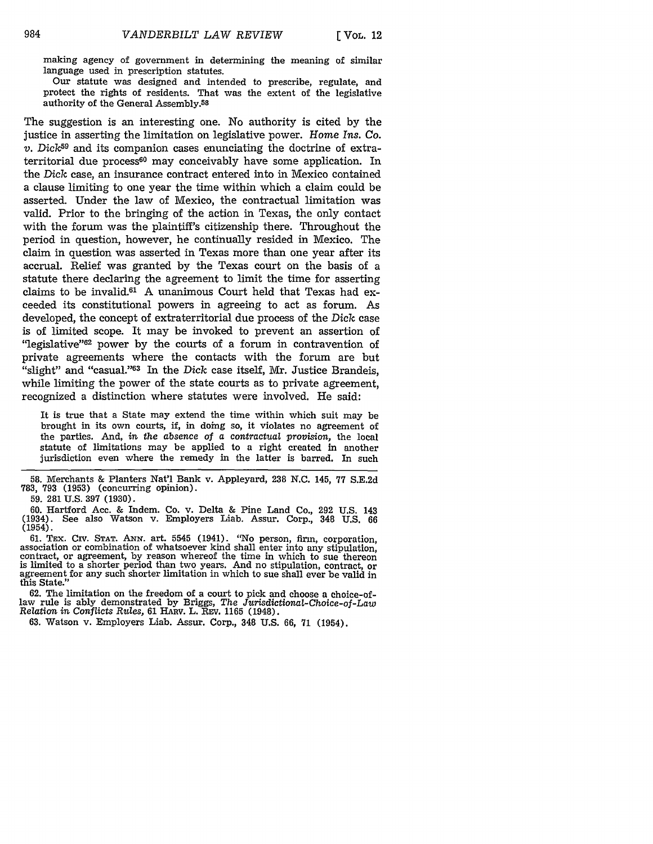making agency of government in determining the meaning of similar language used in prescription statutes.

Our statute was designed and intended to prescribe, regulate, and protect the rights of residents. That was the extent of the legislative authority of the General Assembly.58

The suggestion is an interesting one. No authority is cited by the justice in asserting the limitation on legislative power. Home *Ins. Co. v. Dick59* and its companion cases enunciating the doctrine of extraterritorial due process<sup>60</sup> may conceivably have some application. In the *Dick* case, an insurance contract entered into in Mexico contained a clause limiting to one year the time within which a claim could be asserted. Under the law of Mexico, the contractual limitation was valid. Prior to the bringing of the action in Texas, the only contact with the forum was the plaintiff's citizenship there. Throughout the period in question, however, he continually resided in Mexico. The claim in question was asserted in Texas more than one year after its accrual. Relief was granted by the Texas court on the basis of a statute there declaring the agreement to limit the time for asserting claims to be invalid.61 A unanimous Court held that Texas had exceeded its constitutional powers in agreeing to act as forum. As developed, the concept of extraterritorial due process of the Dick case is of limited scope. It may be invoked to prevent an assertion of "legislative"62 power by the courts of a forum in contravention of private agreements where the contacts with the forum are but "slight" and "casual."<sup>63</sup> In the *Dick* case itself, Mr. Justice Brandeis, while limiting the power of the state courts as to private agreement, recognized a distinction where statutes were involved. He said:

It is true that a State may extend the time within which suit may be brought in its own courts, if, in doing so, it violates no agreement of the parties. And, in *the* absence *of a contractual provision,* the local statute of limitations may be applied to a right created in another jurisdiction even where the remedy in the latter is barred. In such

**58.** Merchants & Planters Nat'l Bank v. Appleyard, 238 N.C. 145, **77** S.E.2d 783, **793** (1953) (concurring opinion).

**59.** 281 U.S. **397** (1930).

60. Hartford Acc. & Indem. Co. v. Delta & Pine Land Co., 292 U.S. 143 (1934). See also Watson v. Employers Liab. Assur. Corp., 348 U.S. 66 (1954).

61. TEx. CiV. STAT. Axx. art. 5545 (1941). "No person, firm, corporation, association or combination of whatsoever kind shall enter into any stipulation, contract, or agreement, by reason whereof the time in which to sue thereon is limited to a shorter period than two years. And no stipulation, contract, or agreement for any such shorter limitation in which to sue shall ever be valid in this State."

**62.** The limitation on the freedom of a court to pick and choose a choice-oflaw rule is ably demonstrated by Briggs, *The Jurisdictional-Choice-of-Law* Relation in *Conflicts* Rules, **61** HA v. L. Rzv. **1165** (1948).

63. Watson v. Employers Liab. Assur. Corp., 348 U.S. 66, 71 (1954).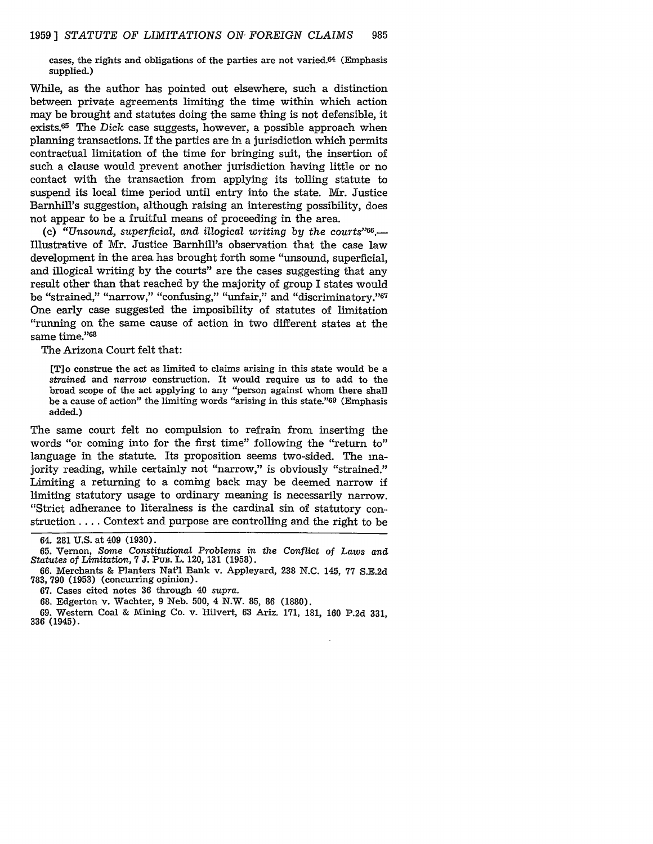cases, the rights and obligations of the parties are not varied.64 (Emphasis supplied.)

While, as the author has pointed out elsewhere, such a distinction between private agreements limiting the time within which action may be brought and statutes doing the same thing is not defensible, it exists.65 The *Dick* case suggests, however, a possible approach when planning transactions. If the parties are in a jurisdiction which permits contractual limitation of the time for bringing suit, the insertion of such a clause would prevent another jurisdiction having little or no contact with the transaction from applying its tolling statute to suspend its local time period until entry into the state. Mr. Justice Barnhill's suggestion, although raising an interesting possibility, does not appear to be a fruitful means of proceeding in the area.

**(c)** *"Unsound, superficial, and illogical writing by the courts"66.-* Illustrative of Mr. Justice Barnhill's observation that the case law development in the area has brought forth some "unsound, superficial, and illogical writing by the courts" are the cases suggesting that any result other than that reached by the majority of group I states would be "strained," "narrow," "confusing," "unfair," and "discriminatory."<sup>67</sup> One early case suggested the imposibility of statutes of limitation "running on the same cause of action in two different states at the same time."68

The Arizona Court felt that:

[T] o construe the act as limited to claims arising in this state would be a *strained* and *narrow* construction. It would require us to add to the broad scope of the act applying to any "person against whom there shall be a cause of action" the limiting words "arising in this state."69 (Emphasis added.)

The same court felt no compulsion to refrain from inserting the words "or coming into for the first time" following the "return to" language in the statute. Its proposition seems two-sided. The majority reading, while certainly not "narrow," is obviously "strained." Limiting a returning to a coming back may be deemed narrow **if** limiting statutory usage to ordinary meaning is necessarily narrow. "Strict adherance to literalness is the cardinal sin of statutory construction .... Context and purpose are controlling and the right to be

**67.** Cases cited notes 36 through 40 *supra.*

68. Edgerton v. Wachter, 9 Neb. 500, 4 N.W. 85, 86 (1880).

69. Western Coal & Mining Co. v. Hilvert, 63 Ariz. 171, 181, 160 P.2d 331, **336** (1945).

<sup>64. 281</sup> U.S. at 409 (1930).

**<sup>65.</sup>** Vernon, Some *Constitutional Problems in the Conflict* of *Laws and Statutes* of *Limitation,* **7 J.** Pus. L. 120, **131 (1958).**

<sup>66.</sup> Merchants & Planters Nat'l Bank v. Appleyard, **238** N.C. 145, 77 S.E.2d 783, 790 (1953) (concurring opinion).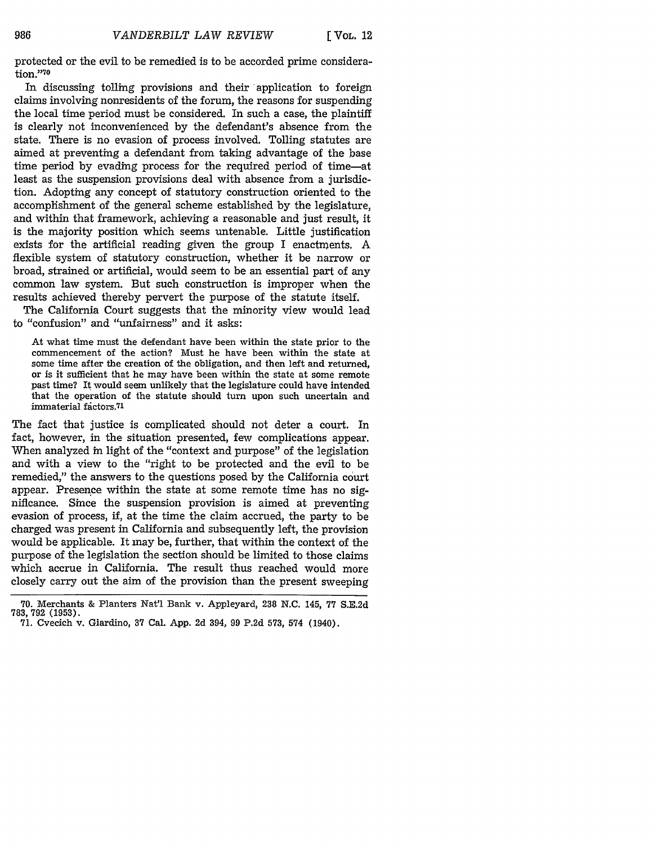protected or the evil to be remedied is to be accorded prime considera $tion.$  $70$ 

In discussing tolling provisions and their application to foreign claims involving nonresidents of the forum, the reasons for suspending the local time period must be considered. In such a case, the plaintiff is clearly not inconvenienced by the defendant's absence from the state. There is no evasion of process involved. Tolling statutes are aimed at preventing a defendant from taking advantage of the base time period by evading process for the required period of time-at least as the suspension provisions deal with absence from a jurisdiction. Adopting any concept of statutory construction oriented to the accomplishment of the general scheme established by the legislature, and within that framework, achieving a reasonable and just result, it is the majority position which seems untenable. Little justification exists for the artificial reading given the group I enactments. A flexible system of statutory construction, whether it be narrow or broad, strained or artificial, would seem to be an essential part of any common law system. But such construction is improper when the results achieved thereby pervert the purpose of the statute itself.

The California Court suggests that the minority view would lead to "confusion" and "unfairness" and it asks:

At what time must the defendant have been within the state prior to the commencement of the action? Must he have been within the state at some time after the creation of the obligation, and then left and returned, or is it sufficient that he may have been within the state at some remote past time? It would seem unlikely that the legislature could have intended that the operation of the statute should turn upon such uncertain and immaterial factors.71

The fact that justice is complicated should not deter a court. In fact, however, in the situation presented, few complications appear. When analyzed in light of the "context and purpose" of the legislation and with a view to the "right to be protected and the evil to be remedied," the answers to the questions posed by the California court appear. Presence within the state at some remote time has no significance. Since the suspension provision is aimed at preventing evasion of process, if, at the time the claim accrued, the party to be charged was present in California and subsequently left, the provision would be applicable. It may be, further, that within the context of the purpose of the legislation the section should be limited to those claims which accrue in California. The result thus reached would more closely carry out the aim of the provision than the present sweeping

986

<sup>70.</sup> Merchants & Planters Nat'l Bank v. Appleyard, 238 N.C. 145, 77 S.E.2d 783,792 (1953). 71. Cvecich v. Giardino, 37 Cal. App. 2d 394, 99 P.2d 573, 574 (1940).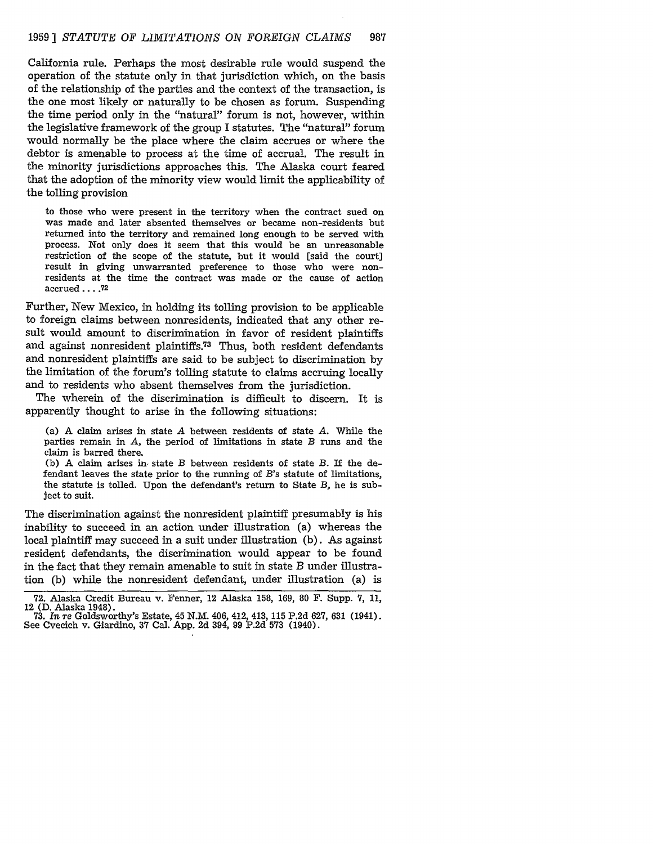California rule. Perhaps the most desirable rule would suspend the operation of the statute only in that jurisdiction which, on the basis of the relationship of the parties and the context of the transaction, is the one most likely or naturally to be chosen as forum. Suspending the time period only in the "natural" forum is not, however, within the legislative framework of the group I statutes. The "natural" forum would normally be the place where the claim accrues or where the debtor is amenable to process at the time of accrual. The result in the minority jurisdictions approaches this. The Alaska court feared that the adoption of the minority view would limit the applicability of the tolling provision

to those who were present in the territory when the contract sued on was made and later absented themselves or became non-residents but returned into the territory and remained long enough to be served with process. Not only does it seem that this would be an unreasonable restriction of the scope of the statute, but it would [said the court] result in giving unwarranted preference to those who were nonresidents at the time the contract was made or the cause of action accrued .... **72**

Further, New Mexico, in holding its tolling provision to be applicable to foreign claims between nonresidents, indicated that any other result would amount to discrimination in favor of resident plaintiffs and against nonresident plaintiffs.<sup>73</sup> Thus, both resident defendants and nonresident plaintiffs are said to be subject to discrimination by the limitation of the forum's tolling statute to claims accruing locally and to residents who absent themselves from the jurisdiction.

The wherein of the discrimination is difficult to discern. It is apparently thought to arise in the following situations:

(a) A claim arises in state *A* between residents of state *A.* While the parties remain in *A,* the period of limitations in state B runs and the claim is barred there.

(b) A claim arises in, state B between residents of state B. If the defendant leaves the state prior to the running of *B's* statute of limitations, the statute is tolled. Upon the defendant's return to State B, he is subject to suit.

The discrimination against the nonresident plaintiff presumably is his inability to succeed in an action under illustration (a) whereas the local plaintiff may succeed in a suit under illustration (b). As against resident defendants, the discrimination would appear to be found in the fact that they remain amenable to suit in state *B* under illustration (b) while the nonresident defendant, under illustration (a) is

<sup>72.</sup> Alaska Credit Bureau v. Fenner, 12 Alaska 158, 169, 80 F. Supp. 7, 11, 12 (D. Alaska 1948).<br>
73. In re Goldsworthy's Estate, 45 N.M. 406, 412, 413, 115 P.2d 627, 631 (1941).<br>
See Cvecich v. Giardino, 37 Cal. App. 2d 3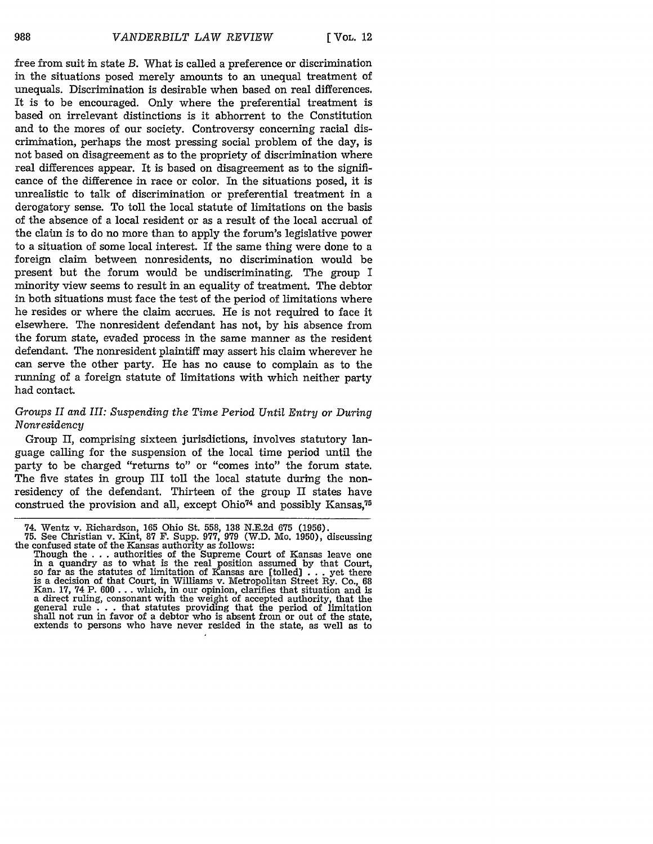free from suit in state *B.* What is called a preference or discrimination in the situations posed merely amounts to an unequal treatment of unequals. Discrimination is desirable when based on real differences. It is to be encouraged. Only where the preferential treatment is based on irrelevant distinctions is it abhorrent to the Constitution and to the mores of our society. Controversy concerning racial discrimination, perhaps the most pressing social problem of the day, is not based on disagreement as to the propriety of discrimination where real differences appear. It is based on disagreement as to the significance of the difference in race or color. In the situations posed, it is unrealistic to talk of discrimination or preferential treatment in a derogatory sense. To toll the local statute of limitations on the basis of the absence of a local resident or as a result of the local accrual of the claim is to do no more than to apply the forum's legislative power to a situation of some local interest. If the same thing were done to a foreign claim between nonresidents, no discrimination would be present but the forum would be undiscriminating. The group I minority view seems to result in an equality of treatment. The debtor in both situations must face the test of the period of limitations where he resides or where the claim accrues. He is not required to face it elsewhere. The nonresident defendant has not, by his absence from the forum state, evaded process in the same manner as the resident defendant. The nonresident plaintiff may assert his claim wherever he can serve the other party. He has no cause to complain as to the running of a foreign statute of limitations with which neither party had contact.

## *Groups II and III: Suspending the Time Period Until Entry or During Nonresidency*

Group II, comprising sixteen jurisdictions, involves statutory language calling for the suspension of the local time period until the party to be charged "returns to" or "comes into" the forum state. The five states in group III toll the local statute during the nonresidency of the defendant. Thirteen of the group II states have construed the provision and all, except Ohio<sup>74</sup> and possibly Kansas,<sup>75</sup>

<sup>74.</sup> Wentz v. Richardson, 165 Ohio St. 558, 138 N.E.2d **675** (1956). **75.** See Christian v. Kint, 87 F. Supp. **977,** 979 (W.D. Mo. 1950), discussing the confused state of the Kansas authority as follows:

Though the . . . authorities of the Supreme Court of Kansas leave one in a quandry as to what is the real position assumed by that Court, so far as the statutes of limitation of Kansas are [tolled) . . . yet there is a decision of that Court, in Williams v. Metropolitan Street Ry. Co., 68 Kan. **17,** 74 P. 600 ... which, in our opinion, clarifies that situation and is a direct ruling, consonant with the weight of accepted authority, that the general rule  $\ldots$  that statutes providing that the period of limitation general rule  $\ldots$  that statutes providing that the period of limitation shall not run in favor of a debtor who is absent from or out of the state. extends to persons who have never resided in the state, as well as to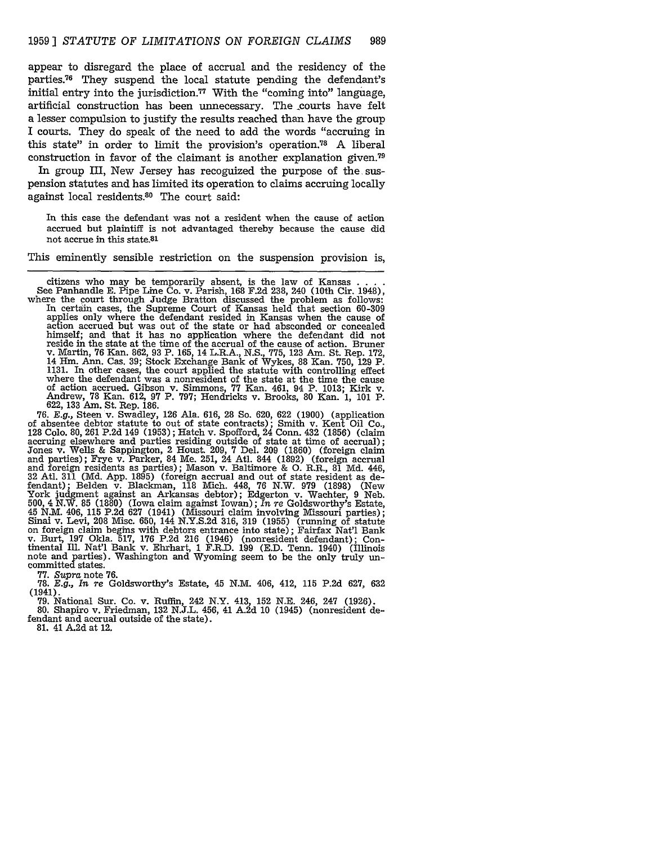appear to disregard the place of accrual and the residency of the parties.<sup>76</sup> They suspend the local statute pending the defendant's initial entry into the jurisdiction.<sup>77</sup> With the "coming into" language, artificial construction has been unnecessary. The courts have felt a lesser compulsion to justify the results reached than have the group I courts. They do speak of the need to add the words "accruing in this state" in order to limit the provision's operation.<sup>78</sup> A liberal construction in favor of the claimant is another explanation given.<sup>79</sup>

In group III, New Jersey has recoguized the purpose of the suspension statutes and has limited its operation to claims accruing locally against local residents. $30$  The court said:

In this case the defendant was not a resident when the cause of action accrued but plaintiff is not advantaged thereby because the cause did not accrue in this state.81

This eminently sensible restriction on the suspension provision is,

citizens who may be temporarily absent, is the law of Kansas **....** See Panhandle E. Pipe Line Co. v. Parish, 168 F.2d 238, 240 (10th Cir. 1948), where the court through Judge Bratton discussed the problem as follows: In certain cases, the Supreme Court of Kansas held that section 60-309 applies only where the defendant resided in Kansas when the cause of action accrued but was out of the state or had absconded or concealed himself; and that it has no application where the defendant did not reside in the state at the time of the accrual of the cause of action. Bruner v. Martin, 76 Kan. 862, 93 P. 165, 14 L.R.A., N.S., 775, 123 Am. St. Rep. 17 14 Hm. Ann. Cas. 39; Stock Exchange Bank of Wykes, 88 Kan. 750, 129 P. 1131. In other cases, the court applied the statute with controlling effect where the defendant was a nonresident of the state at the time the cause<br>of action accrued. Gibson v. Simmons, 77 Kan. 461, 94 P. 1013; Kirk v.<br>Andrew, 78 Kan. 612, 97 P. 797; Hendricks v. Brooks, 80 Kan. 1, 101 P.

622, **133** Am. St. Rep. 186. 76. E.g., Steed v. Swadley, Steed v. Swadley, 126 Colores of absentee debtor statute to out of state contracts); Smith v. Kent Oil Co., 128 Colo. 80, 261 P.2d 149 (1953); Hatch v. Spofford, 24 Conn. 432 (1856) (claim 128 Colo. 80, 261 P.2d 149 (1953); Hatch v. Spofford, 24 Conn. 432 (1856) (claim accruing elsewhere and parties residing outside of state at time of accrual); Jones v. Wells & Sappington, 2 Houst. 209, 7 Del. 209 (1860) (foreign claim and parties); Frye v. Parker, 84 Me. 251, 24 Atl. 844 (1892) (foreign accrual and foreign residents as parties); Mason v. Baltimore & **0.** R.R., 81 Md. 446, 32 Atl. 311 (Md. App. 1895) (foreign accrual and out of state resident as defendant); Belden v. Blackman, 118 Mich. 448, 76 N.W. 979 (1898) (New York judgment against an Arkansas debtor); Edgerton v. Wachter, 9 Neb. 500, 4 N.W. 85 (1880) (Iowa claim against Iowan); In re Goldsworthy's Estate, 45 N.M. 406, 115 P.2d 627 (1941) (Missouri claim involving Missouri parties); Sinai v. Levi, 208 Misc. 650, 144 N.Y.S.2d 316, 319 (1955) (runni tinental Ill. Nat'l Bank v. Ehrhart, 1 F.R.D. 199 (E.D. Tenn. 1940) (Illinois note and parties). Washington and Wyoming seem to be the only truly un-<br>committed states. 77. *Supra* note 76.

78. *E.g., In re* Goldsworthy's Estate, 45 N.M. 406, 412, 115 P.2d 627, 632 (1941).

79. National Sur. Co. v. Ruffm, 242 N.Y. 413, 152 N.E. 246, 247 (1926). 80. Shapiro v. Friedman, 132 N.J.L. 456, 41 A.2d 10 (1945) (nonresident de-

fendant and accrual outside of the state).

81. 41 A.2d at 12.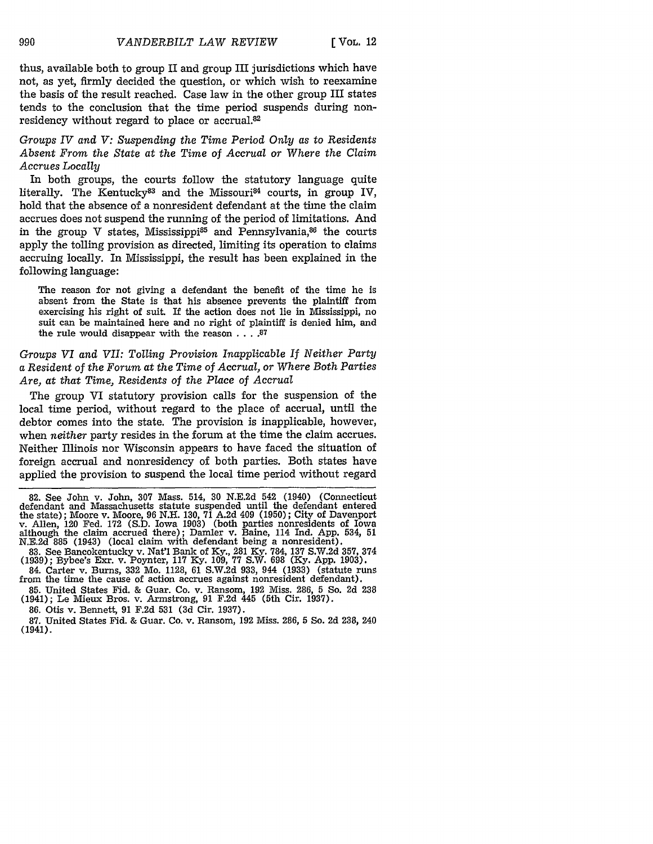thus, available both to group II and group III jurisdictions which have not, as yet, firmly decided the question, or which wish to reexamine the basis of the result reached. Case law in the other group III states tends to the conclusion that the time period suspends during nonresidency without regard to place or accrual.<sup>82</sup>

*Groups IV and V: Suspending the Time Period Only as to Residents Absent From the State at the Time of Accrual or Where the Claim Accrues Locally*

In both groups, the courts follow the statutory language quite literally. The Kentucky<sup>83</sup> and the Missouri<sup>84</sup> courts, in group IV, hold that the absence of a nonresident defendant at the time the claim accrues does not suspend the running of the period of limitations. And in the group V states, Mississippi<sup>85</sup> and Pennsylvania,<sup>86</sup> the courts apply the tolling provision as directed, limiting its operation to claims accruing locally. In Mississippi, the result has been explained in the following language:

The reason for not giving a defendant the benefit of the time he is absent from the State is that his absence prevents the plaintiff from exercising his right of suit. If the action does not lie in Mississippi, no suit can be maintained here and no right of plaintiff is denied him, and the rule would disappear with the reason **. . . .87**

### *Groups VI and VII: Tolling Provision Inapplicable If Neither Party a Resident of the Forum at the Time of Accrual, or Where Both Parties Are, at that Time, Residents of the Place of Accrual*

The group VI statutory provision calls for the suspension of the local time period, without regard to the place of accrual, until the debtor comes into the state. The provision is inapplicable, however, when *neither* party resides in the forum at the time the claim accrues. Neither Illinois nor Wisconsin appears to have faced the situation of foreign accrual and nonresidency of both parties. Both states have applied the provision to suspend the local time period without regard

84. Carter v. Bums, 332 Mo. 1128, 61 S.W.2d 933, 944 (1933) (statute runs from the time the cause of action accrues against nonresident defendant).

85. United States Fid. & Guar. Co. v. Ransom, 192 Miss. 286, 5 So. 2d 238 (1941); Le Mieux Bros. v. Armstrong, 91 F.2d 445 (5th Cir. 1937).

86. Otis v. Bennett, 91 F.2d 531 (3d Cir. 1937).

87. United States Fid. & Guar. Co. v. Ransom, 192 Miss. 286, 5 So. 2d 238, 240 (1941).

<sup>82.</sup> See John v. John, 307 Mass. 514, 30 N.E.2d 542 (1940) (Connecticut defendant and Massachusetts statute suspended until the defendant entered the state); Moore v. Moore, 96 N.H. 130, 71 A.2d 409 (1950); City of Davenport v. Allen, 120 Fed. 172 (S.D. Iowa 1903) (both parties nonresidents of Iowa although the claim accrued there); Damler v. Baine, 114 Ind. App. 534, 51 N.E.2d 885 (1943) (local claim with defendant being a nonresident).

<sup>83.</sup> See Bancokentucky v. Nat'l Bank of Ky., 281 **Ky.** 784, 137 S.W.2d 357, 374 (1939); Bybee's Exr. v. Poynter, 117 Ky. 109, 77 S.W. 698 (Ky. App. 1903).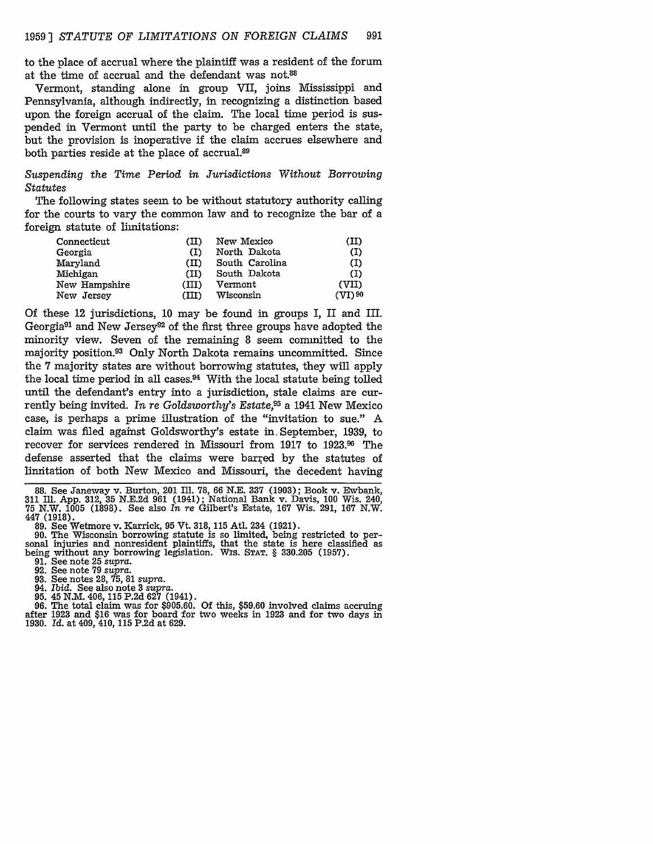to the place of accrual where the plaintiff was a resident of the forum at the time of accrual and the defendant was not.88

Vermont, standing alone in group VII, joins Mississippi and Pennsylvania, although indirectly, in recognizing a distinction based upon the foreign accrual of the claim. The local time period is suspended in Vermont until the party to be charged enters the state, but the provision is inoperative if the claim accrues elsewhere and both parties reside at the place of accrual.<sup>89</sup>

*Suspending the Time Period in Jurisdictions Without Borrowing* Statutes

The following states seem to be without statutory authority calling for the courts to vary the common law and to recognize the bar of a foreign statute of limitations:

| Connecticut   | (II)    | New Mexico     | (II)      |
|---------------|---------|----------------|-----------|
| Georgia       | (1)     | North Dakota   | (I)       |
| Maryland      | $(\Pi)$ | South Carolina | (I)       |
| Michigan      | (II)    | South Dakota   | (I)       |
| New Hampshire | (III)   | Vermont        | (VII)     |
| New Jersey    | (III)   | Wisconsin      | $(VI)$ 90 |

Of these 12 jurisdictions, 10 may be found in groups I, II and III. Georgia<sup>91</sup> and New Jersey<sup>92</sup> of the first three groups have adopted the minority view. Seven of the remaining 8 seem committed to the majority position.93 Only North Dakota remains uncommitted. Since the **7** majority states are without borrowing statutes, they will apply the local time period in all cases.<sup>94</sup> With the local statute being tolled until the defendant's entry into a jurisdiction, stale claims are currently being invited. *In re Goldsworthy's Estate,95* a 1941 New Mexico case, is perhaps a prime illustration of the "invitation to sue." A claim was filed against Goldsworthy's estate in September, 1939, to recover for services rendered in Missouri from 1917 to **1923.9** The defense asserted that the claims were barred by the statutes of limitation of both New Mexico and Missouri, the decedent having

**88.** See Janeway v. Burton, 201 Ill. **78,** 66 N.E. **337** (1903); Book v. Ewbank, **311** Ill. App. 312, 35 N.E.2d 961 (1941); National Bank v. Davis, 100 Wis. 240, **75** N.W. 1005 (1898). See also *In re* Gilbert's Estate, **167** Wis. 291, **167** N.W. 447 (1918). 89. See Wetmore v. Karrick, 95 Vt. 318, 115 Atl. 234 (1921).

90. The Wisconsin borrowing statute is so limited, being restricted to per- sonal injuries and nonresident plaintiffs, that the state is here classified as being without any borrowing legislation. WIS. STAT. § 330.205 (1957)<br>91. See note 25 supra.<br>92. See note 79 supra.<br>93. See notes 28, 75, 81 supra.<br>94. Ibid. See also note 3 supra.<br>95. 45 N.M. 406, 115 P.2d 627 (1941).

- 
- 
- 
- 
- 

94. Ibid. See also note 3 supra.<br>
95. 45 N.M. 406, 115 P.2d 627 (1941).<br>
96. The total claim was for \$905.60. Of this, \$59.60 involved claims accruing after 1923 and \$16 was for board for two weeks in 1923 and for two days 1930. Id. at 409, 410, **115** P.2d at 629.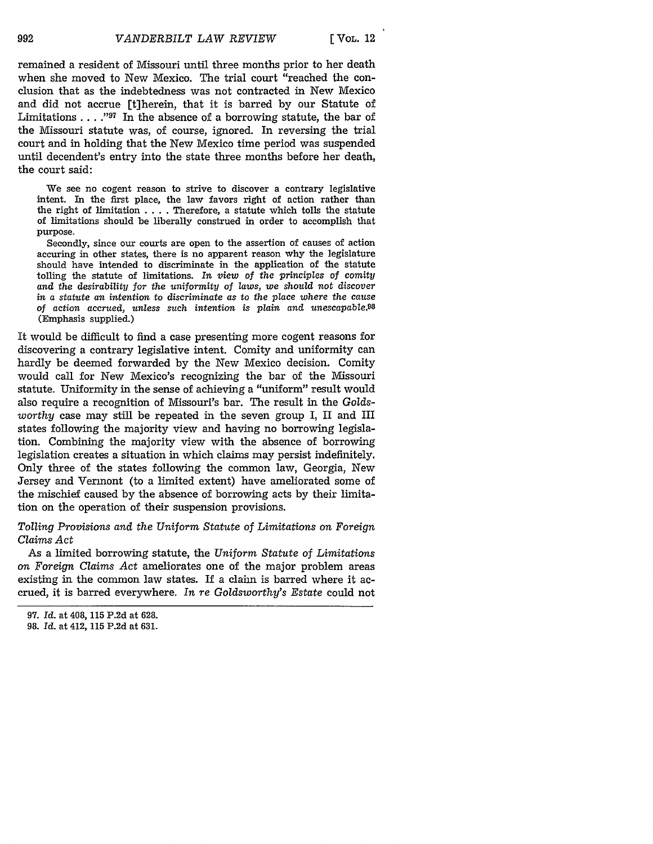remained a resident of Missouri until three months prior to her death when she moved to New Mexico. The trial court "reached the conclusion that as the indebtedness was not contracted in New Mexico and did not accrue [t]herein, that it is barred by our Statute of Limitations . . . .<sup>197</sup> In the absence of a borrowing statute, the bar of the Missouri statute was, of course, ignored. In reversing the trial court and in holding that the New Mexico time period was suspended until decendent's entry into the state three months before her death, the court said:

We see no cogent reason to strive to discover a contrary legislative intent. In the first place, the law favors right of action rather than the right of limitation .... Therefore, a statute which tolls the statute of limitations should be liberally construed in order to accomplish that purpose.

Secondly, since our courts are open to the assertion of causes of action accuring in other states, there is no apparent reason why the legislature should have intended to discriminate in the application of the statute tolling the statute of limitations. *In view* of the *principles* of comity *and the desirability for the uniformity of laws, we* should not discover *in a statute an intention to discriminate* as *to the place where the* cause *of action accrued, unless such intention is plain and unescapable.98* (Emphasis supplied.)

It would be difficult to find a case presenting more cogent reasons for discovering a contrary legislative intent. Comity and uniformity can hardly be deemed forwarded by the New Mexico decision. Comity would call for New Mexico's recognizing the bar of the Missouri statute. Uniformity in the sense of achieving a "uniform" result would also require a recognition of Missouri's bar. The result in the *Goldsworthy* case may still be repeated in the seven group I, II and III states following the majority view and having no borrowing legislation. Combining the majority view with the absence of borrowing legislation creates a situation in which claims may persist indefinitely. Only three of the states following the common law, Georgia, New Jersey and Vermont (to a limited extent) have ameliorated some of the mischief caused by the absence of borrowing acts by their limitation on the operation of their suspension provisions.

*Tolling Provisions and the Uniform Statute of Limitations on Foreign Claims Act*

As a limited borrowing statute, the *Uniform Statute of Limitations on Foreign Claims Act* ameliorates one of the major problem areas existing in the common law states. If a claim is barred where it accrued, it is barred everywhere. *In re Goldsworthy's Estate* could not

992

**<sup>97.</sup>** Id. at 408, **115 P.2d** at 628.

**<sup>98.</sup> Id.** at 412, **115 P.2d** at 631.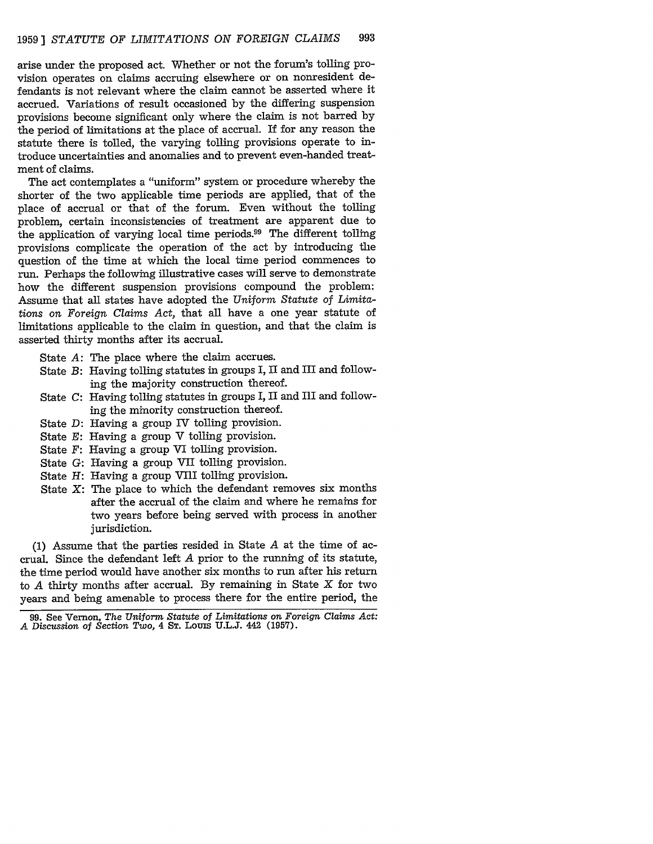arise under the proposed act. Whether or not the forum's tolling provision operates on claims accruing elsewhere or on nonresident defendants is not relevant where the claim cannot be asserted where it accrued. Variations of result occasioned by the differing suspension provisions become significant only where the claim is not barred by the period of limitations at the place of accrual. If for any reason the statute there is tolled, the varying tolling provisions operate to introduce uncertainties and anomalies and to prevent even-handed treatment of claims.

The act contemplates a "uniform" system or procedure whereby the shorter of the two applicable time periods are applied, that of the place of accrual or that of the forum. Even without the tolling problem, certain inconsistencies of treatment are apparent due to the application of varying local time periods.99 The different tolling provisions complicate the operation of the act by introducing the question of the time at which the local time period commences to run. Perhaps the following illustrative cases will serve to demonstrate how the different suspension provisions compound the problem: Assume that all states have adopted the *Uniform Statute of Limitations on Foreign Claims* Act, that all have a one year statute of limitations applicable to the claim in question, and that the claim is asserted thirty months after its accrual.

- State *A:* The place where the claim accrues.
- State *B:* Having tolling statutes in groups I, II and III and following the majority construction thereof.
- State *C:* Having tolling statutes in groups I, II and III and following the minority construction thereof.
- State *D:* Having a group IV tolling provision.
- State *E:* Having a group V tolling provision.
- State *F:* Having a group VI tolling provision.
- State *G:* Having a group VII tolling provision.
- State *H:* Having a group VIII tolling provision.
- State X: The place to which the defendant removes six months after the accrual of the claim and where he remains for two years before being served with process in another jurisdiction.

(1) Assume that the parties resided in State *A* at the time of accrual. Since the defendant left *A* prior to the running of its statute, the time period would have another six months to run after his return to *A* thirty months after accrual. By remaining in State X for two years and being amenable to process there for the entire period, the

**<sup>99.</sup>** See Vernon, *The Uniform Statute of Limitations on Foreign Claims Act: A* Discussion of *Section Two,* 4 **ST.** Louis U.L.J. 442 (1957).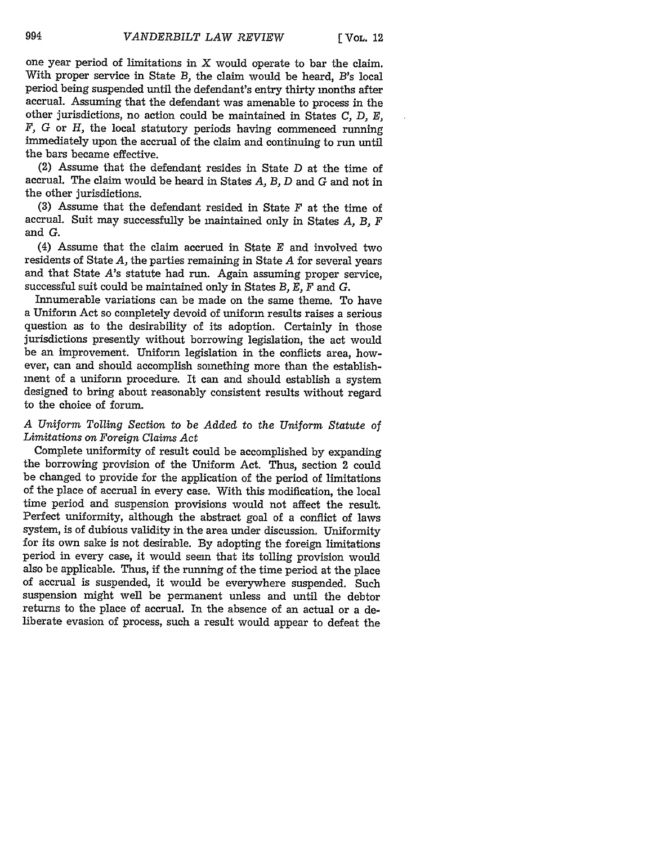one year period of limitations in  $X$  would operate to bar the claim. With proper service in State *B,* the claim would be heard, *B's* local period being suspended until the defendant's entry thirty months after accrual. Assuming that the defendant was amenable to process in the other jurisdictions, no action could be maintained in States *C, D, E, F,* G or *H,* the local statutory periods having commenced running immediately upon the accrual of the claim and continuing to run until the bars became effective.

(2) Assume that the defendant resides in State D at the time of accrual. The claim would be heard in States *A, B,* D and G and not in the other jurisdictions.

**(3)** Assume that the defendant resided in State F at the time of accrual. Suit may successfully be maintained only in States *A, B, F* and **G.**

(4) Assume that the claim accrued in State *E* and involved two residents of State *A,* the parties remaining in State *A* for several years and that State *A's* statute had run. Again assuming proper service, successful suit could be maintained only in States *B, E, F* and **G.**

Innumerable variations can be made on the same theme. To have a Uniform Act so completely devoid of uniform results raises a serious question as to the desirability of its adoption. Certainly in those jurisdictions presently without borrowing legislation, the act would be an improvement. Uniform legislation in the conflicts area, however, can and should accomplish something more than the establishment of a uniform procedure. It can and should establish a system designed to bring about reasonably consistent results without regard to the choice of forum.

## *A Uniform Tolling Section* to *be Added* to *the Uniform Statute of Limitations on Foreign Claims Act*

Complete uniformity of result could be accomplished by expanding the borrowing provision of the Uniform Act. Thus, section 2 could be changed to provide for the application of the period of limitations of the place of accrual in every case. With this modification, the local time period and suspension provisions would not affect the result. Perfect uniformity, although the abstract goal of a conflict of laws system, is of dubious validity in the area under discussion. Uniformity for its own sake is not desirable. By adopting the foreign limitations period in every case, it would seem that its tolling provision would also be applicable. Thus, if the running of the time period at the place of accrual is suspended, it would be everywhere suspended. Such suspension might well be permanent unless and until the debtor returns to the place of accrual. In the absence of an actual or a deliberate evasion of process, such a result would appear to defeat the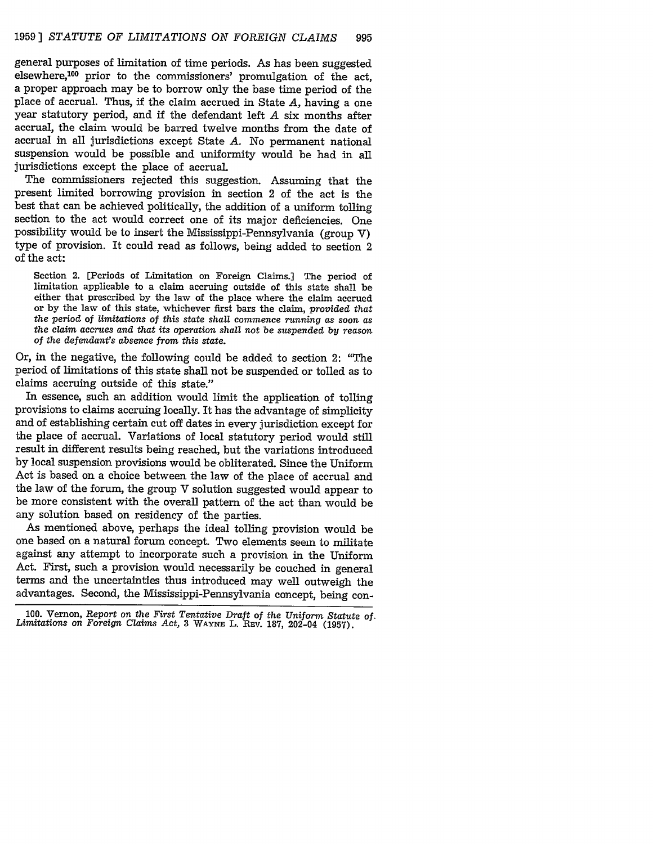general purposes of limitation of time periods. As has been suggested elsewhere,<sup>100</sup> prior to the commissioners' promulgation of the act, a proper approach may be to borrow only the base time period of the place of accrual. Thus, if the claim accrued in State *A,* having a one year statutory period, and if the defendant left *A* six months after accrual, the claim would be barred twelve months from the date of accrual in all jurisdictions except State *A.* No permanent national suspension would be possible and uniformity would be had in all jurisdictions except the place of accrual.

The commissioners rejected this suggestion. Assuming that the present limited borrowing provision in section 2 of the act is the best that can be achieved politically, the addition of a uniform tolling section to the act would correct one of its major deficiencies. One possibility would be to insert the Mississippi-Pennsylvania (group V) type of provision. It could read as follows, being added to section 2 of the act:

Section 2. [Periods of Limitation on Foreign Claims.] The period of limitation applicable to a claim accruing outside of this state shall be either that prescribed by the law of the place where the claim accrued or by the law of this state, whichever first bars the claim, *provided that the period of limitations of this state shall commence running as soon as the claim accrues and that its operation shall not be suspended by reason of the defendant's absence from this state.*

Or, in the negative, the following could be added to section 2: "The period of limitations of this state shall not be suspended or tolled as to claims accruing outside of this state."

In essence, such an addition would limit the application of tolling provisions to claims accruing locally. It has the advantage of simplicity and of establishing certain cut off dates in every jurisdiction except for the place of accrual. Variations of local statutory period would still result in different results being reached, but the variations introduced by local suspension provisions would be obliterated. Since the Uniform Act is based on a choice between the law of the place of accrual and the law of the forum, the group V solution suggested would appear to be more consistent with the overall pattern of the act than would be any solution based on residency of the parties.

As mentioned above, perhaps the ideal tolling provision would be one based on a natural forum concept. Two elements seem to militate against any attempt to incorporate such a provision in the Uniform Act. First, such a provision would necessarily be couched in general terms and the uncertainties thus introduced may well outweigh the advantages. Second, the Mississippi-Pennsylvania concept, being con-

<sup>100.</sup> Vernon, *Report* on *the First Tentative Draft of the Uniform Statute of. Limitations* on *Foreign Claims Act,* 3 **WAYNE** L. REV. 187, 202-04 (1957).